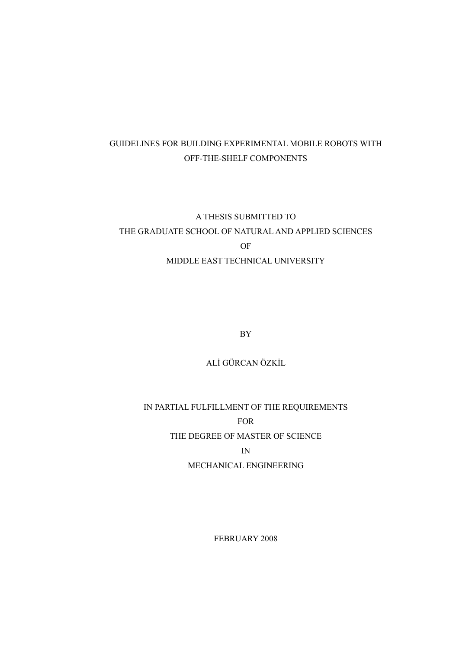# GUIDELINES FOR BUILDING EXPERIMENTAL MOBILE ROBOTS WITH OFF-THE-SHELF COMPONENTS

# A THESIS SUBMITTED TO THE GRADUATE SCHOOL OF NATURAL AND APPLIED SCIENCES OF MIDDLE EAST TECHNICAL UNIVERSITY

BY

ALİ GÜRCAN ÖZKİL

IN PARTIAL FULFILLMENT OF THE REQUIREMENTS FOR THE DEGREE OF MASTER OF SCIENCE IN MECHANICAL ENGINEERING

FEBRUARY 2008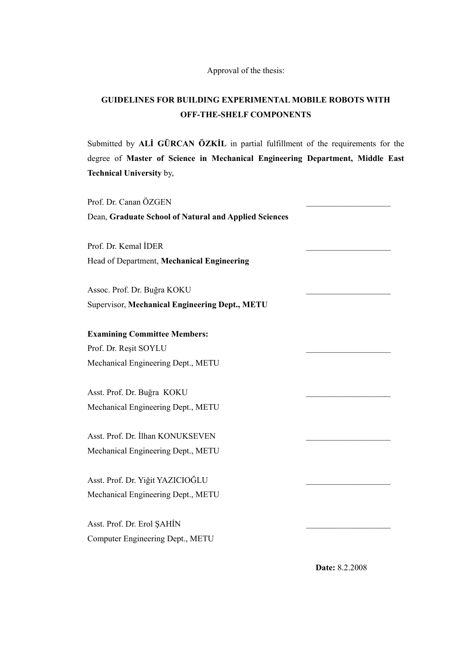Approval of the thesis:

# **GUIDELINES FOR BUILDING EXPERIMENTAL MOBILE ROBOTS WITH OFF-THE-SHELF COMPONENTS**

Submitted by **ALİ GÜRCAN ÖZKİL** in partial fulfillment of the requirements for the degree of **Master of Science in Mechanical Engineering Department, Middle East Technical University** by,

Prof. Dr. Canan ÖZGEN Dean, **Graduate School of Natural and Applied Sciences** Prof. Dr. Kemal İDER Head of Department, **Mechanical Engineering**  Assoc. Prof. Dr. Buğra KOKU \_\_\_\_\_\_\_\_\_\_\_\_\_\_\_\_\_\_\_\_ Supervisor, **Mechanical Engineering Dept., METU Examining Committee Members:**  Prof. Dr. Reşit SOYLU \_\_\_\_\_\_\_\_\_\_\_\_\_\_\_\_\_\_\_\_ Mechanical Engineering Dept., METU Asst. Prof. Dr. Buğra KOKU \_\_\_\_\_\_\_\_\_\_\_\_\_\_\_\_\_\_\_\_ Mechanical Engineering Dept., METU Asst. Prof. Dr. İlhan KONUKSEVEN Mechanical Engineering Dept., METU Asst. Prof. Dr. Yiğit YAZICIOĞLU \_\_\_\_\_\_\_\_\_\_\_\_\_\_\_\_\_\_\_\_ Mechanical Engineering Dept., METU Asst. Prof. Dr. Erol ŞAHİN \_\_\_\_\_\_\_\_\_\_\_\_\_\_\_\_\_\_\_\_ Computer Engineering Dept., METU

**Date:** 8.2.2008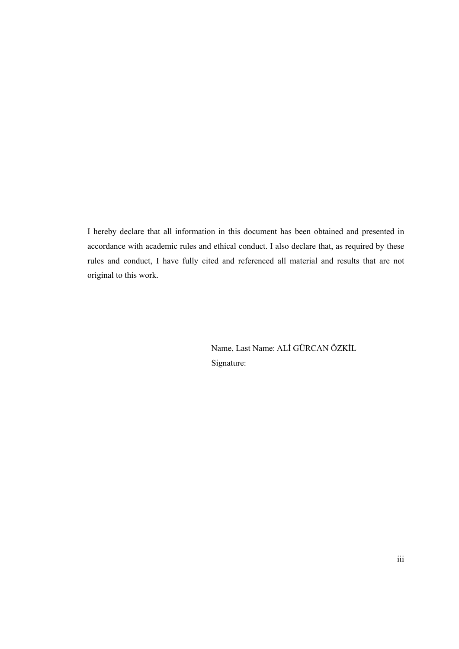I hereby declare that all information in this document has been obtained and presented in accordance with academic rules and ethical conduct. I also declare that, as required by these rules and conduct, I have fully cited and referenced all material and results that are not original to this work.

> Name, Last Name: ALİ GÜRCAN ÖZKİL Signature: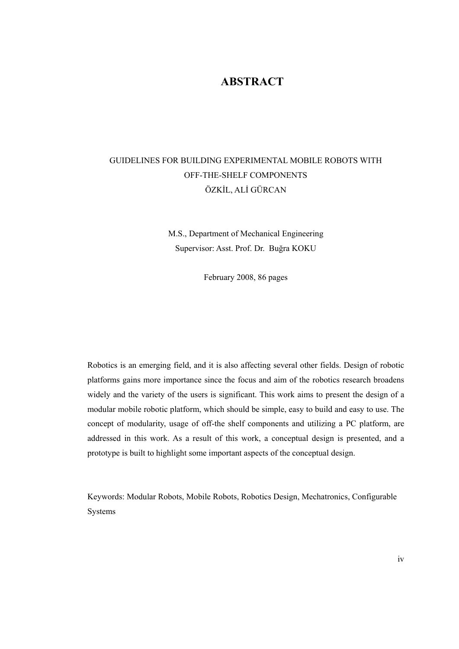## **ABSTRACT**

# GUIDELINES FOR BUILDING EXPERIMENTAL MOBILE ROBOTS WITH OFF-THE-SHELF COMPONENTS ÖZKİL, ALİ GÜRCAN

M.S., Department of Mechanical Engineering Supervisor: Asst. Prof. Dr. Buğra KOKU

February 2008, 86 pages

Robotics is an emerging field, and it is also affecting several other fields. Design of robotic platforms gains more importance since the focus and aim of the robotics research broadens widely and the variety of the users is significant. This work aims to present the design of a modular mobile robotic platform, which should be simple, easy to build and easy to use. The concept of modularity, usage of off-the shelf components and utilizing a PC platform, are addressed in this work. As a result of this work, a conceptual design is presented, and a prototype is built to highlight some important aspects of the conceptual design.

Keywords: Modular Robots, Mobile Robots, Robotics Design, Mechatronics, Configurable Systems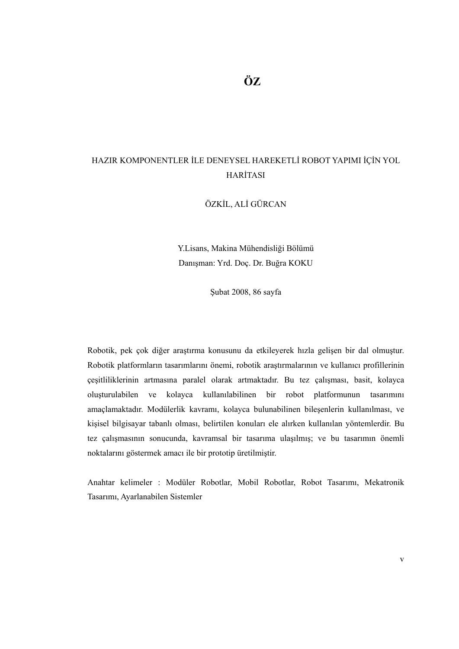# HAZIR KOMPONENTLER İLE DENEYSEL HAREKETLİ ROBOT YAPIMI İÇİN YOL HARİTASI

ÖZKİL, ALİ GÜRCAN

Y.Lisans, Makina Mühendisliği Bölümü Danışman: Yrd. Doç. Dr. Buğra KOKU

Şubat 2008, 86 sayfa

Robotik, pek çok diğer araştırma konusunu da etkileyerek hızla gelişen bir dal olmuştur. Robotik platformların tasarımlarını önemi, robotik araştırmalarının ve kullanıcı profillerinin çeşitliliklerinin artmasına paralel olarak artmaktadır. Bu tez çalışması, basit, kolayca oluşturulabilen ve kolayca kullanılabilinen bir robot platformunun tasarımını amaçlamaktadır. Modülerlik kavramı, kolayca bulunabilinen bileşenlerin kullanılması, ve kişisel bilgisayar tabanlı olması, belirtilen konuları ele alırken kullanılan yöntemlerdir. Bu tez çalışmasının sonucunda, kavramsal bir tasarıma ulaşılmış; ve bu tasarımın önemli noktalarını göstermek amacı ile bir prototip üretilmiştir.

Anahtar kelimeler : Modüler Robotlar, Mobil Robotlar, Robot Tasarımı, Mekatronik Tasarımı, Ayarlanabilen Sistemler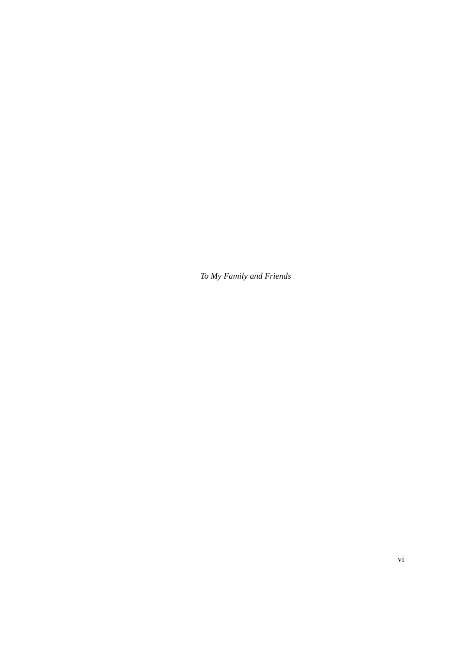*To My Family and Friends*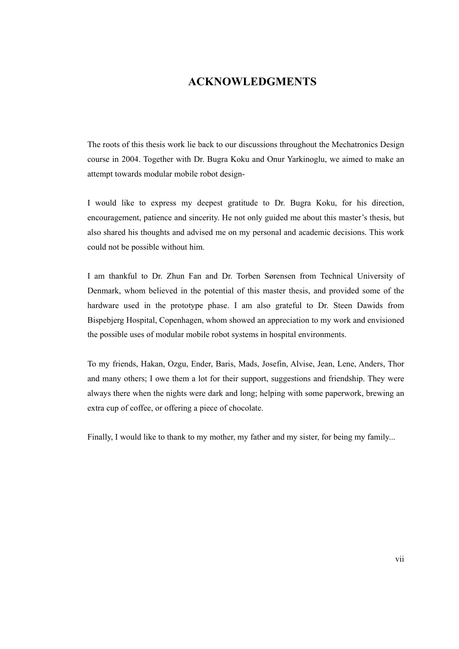## **ACKNOWLEDGMENTS**

The roots of this thesis work lie back to our discussions throughout the Mechatronics Design course in 2004. Together with Dr. Bugra Koku and Onur Yarkinoglu, we aimed to make an attempt towards modular mobile robot design-

I would like to express my deepest gratitude to Dr. Bugra Koku, for his direction, encouragement, patience and sincerity. He not only guided me about this master's thesis, but also shared his thoughts and advised me on my personal and academic decisions. This work could not be possible without him.

I am thankful to Dr. Zhun Fan and Dr. Torben Sørensen from Technical University of Denmark, whom believed in the potential of this master thesis, and provided some of the hardware used in the prototype phase. I am also grateful to Dr. Steen Dawids from Bispebjerg Hospital, Copenhagen, whom showed an appreciation to my work and envisioned the possible uses of modular mobile robot systems in hospital environments.

To my friends, Hakan, Ozgu, Ender, Baris, Mads, Josefin, Alvise, Jean, Lene, Anders, Thor and many others; I owe them a lot for their support, suggestions and friendship. They were always there when the nights were dark and long; helping with some paperwork, brewing an extra cup of coffee, or offering a piece of chocolate.

Finally, I would like to thank to my mother, my father and my sister, for being my family...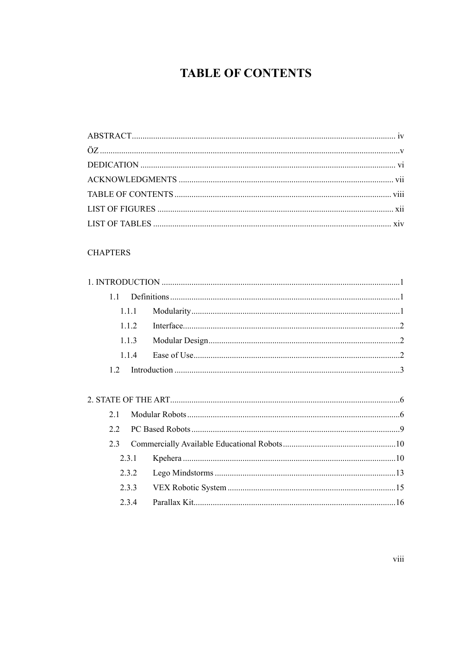# **TABLE OF CONTENTS**

#### **CHAPTERS**

| 11  |       |  |
|-----|-------|--|
|     | 1.1.1 |  |
|     | 1.1.2 |  |
|     | 1.1.3 |  |
|     | 114   |  |
| 12  |       |  |
|     |       |  |
|     |       |  |
| 21  |       |  |
| 22  |       |  |
| 2.3 |       |  |
|     | 2.3.1 |  |
|     | 2.3.2 |  |
|     | 2.3.3 |  |
|     | 2.3.4 |  |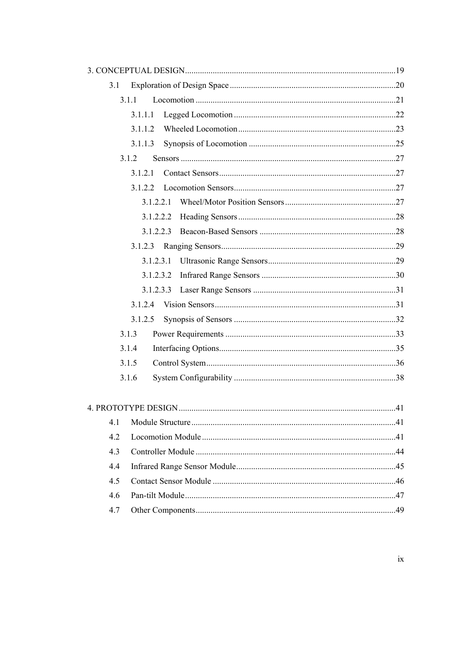| 3.1 |           |     |
|-----|-----------|-----|
|     | 3.1.1     |     |
|     | 3.1.1.1   |     |
|     | 3.1.1.2   |     |
|     | 3.1.1.3   |     |
|     | 3.1.2     |     |
|     | 3 1 2 1   |     |
|     | 3122      |     |
|     | 3.1.2.2.1 |     |
|     | 3.1.2.2.2 |     |
|     | 3.1.2.2.3 |     |
|     | 3.1.2.3   |     |
|     | 3.1.2.3.1 |     |
|     | 3.1.2.3.2 |     |
|     | 3.1.2.3.3 |     |
|     | 3.1.2.4   |     |
|     | 3.1.2.5   |     |
|     | 3.1.3     |     |
|     | 3.1.4     |     |
|     | 3.1.5     |     |
|     | 3.1.6     |     |
|     |           |     |
|     |           | .41 |
| 4.1 |           |     |
| 4.2 |           |     |
| 4.3 |           |     |
| 4.4 |           |     |
| 4.5 |           |     |
| 4.6 |           |     |
| 4.7 |           |     |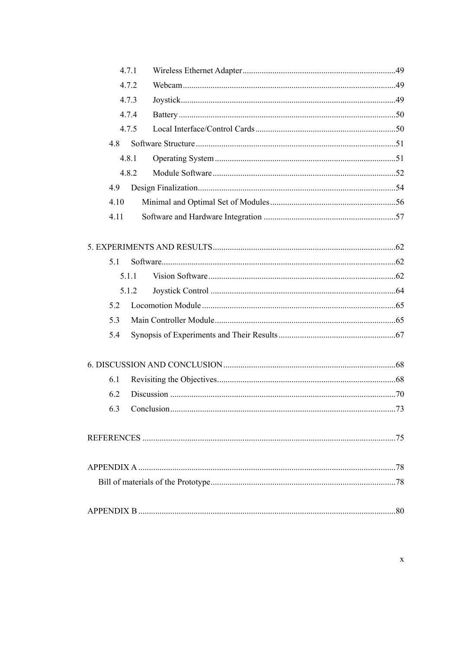|      | 4.7.1 |  |
|------|-------|--|
|      | 4.7.2 |  |
|      | 4.7.3 |  |
|      | 4.7.4 |  |
|      | 4.7.5 |  |
| 4.8  |       |  |
|      | 4.8.1 |  |
|      | 482   |  |
| 4.9  |       |  |
| 4.10 |       |  |
| 4.11 |       |  |
|      |       |  |
|      |       |  |
| 5.1  |       |  |
|      | 5.1.1 |  |
|      | 5.1.2 |  |
| 5.2  |       |  |
| 5.3  |       |  |
| 5.4  |       |  |
|      |       |  |
|      |       |  |
| 6.1  |       |  |
| 6.2  |       |  |
|      |       |  |
|      |       |  |
|      |       |  |
|      |       |  |
|      |       |  |
|      |       |  |
|      |       |  |
|      |       |  |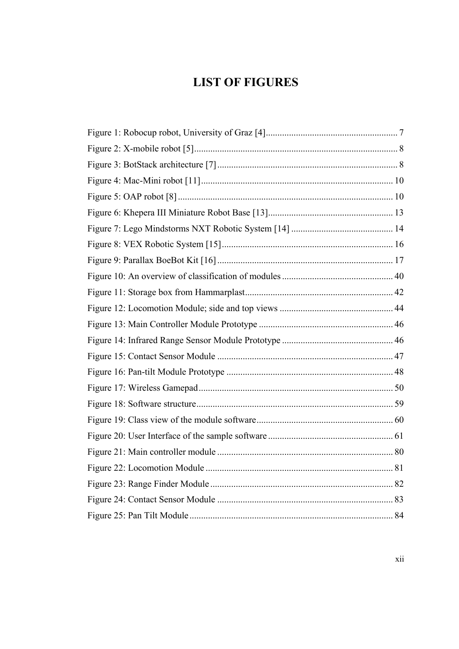# **LIST OF FIGURES**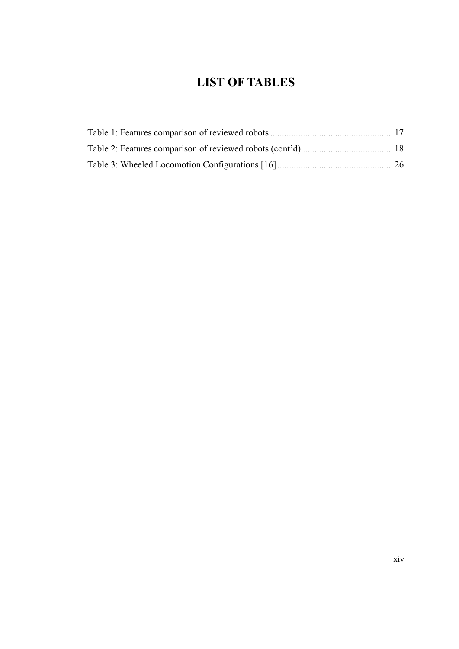# **LIST OF TABLES**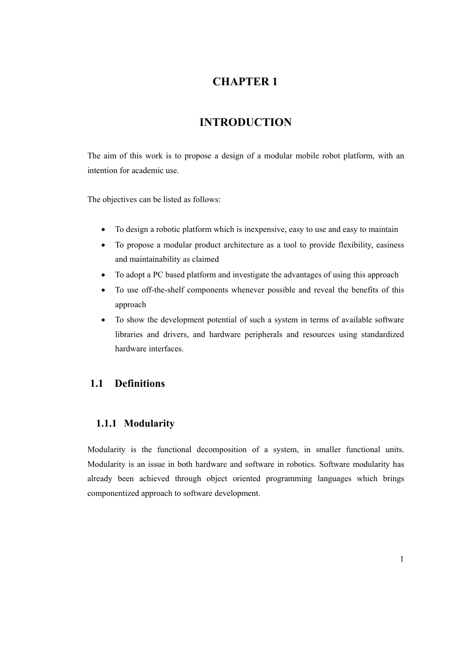# **CHAPTER 1**

# **INTRODUCTION**

The aim of this work is to propose a design of a modular mobile robot platform, with an intention for academic use.

The objectives can be listed as follows:

- To design a robotic platform which is inexpensive, easy to use and easy to maintain
- To propose a modular product architecture as a tool to provide flexibility, easiness and maintainability as claimed
- To adopt a PC based platform and investigate the advantages of using this approach
- To use off-the-shelf components whenever possible and reveal the benefits of this approach
- To show the development potential of such a system in terms of available software libraries and drivers, and hardware peripherals and resources using standardized hardware interfaces.

## **1.1 Definitions**

### **1.1.1 Modularity**

Modularity is the functional decomposition of a system, in smaller functional units. Modularity is an issue in both hardware and software in robotics. Software modularity has already been achieved through object oriented programming languages which brings componentized approach to software development.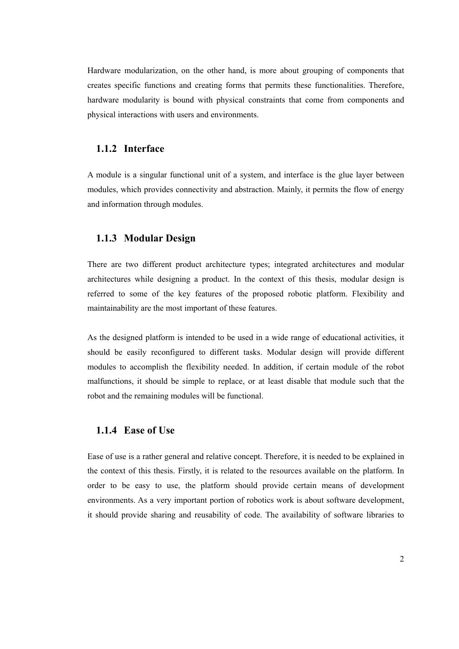Hardware modularization, on the other hand, is more about grouping of components that creates specific functions and creating forms that permits these functionalities. Therefore, hardware modularity is bound with physical constraints that come from components and physical interactions with users and environments.

#### **1.1.2 Interface**

A module is a singular functional unit of a system, and interface is the glue layer between modules, which provides connectivity and abstraction. Mainly, it permits the flow of energy and information through modules.

#### **1.1.3 Modular Design**

There are two different product architecture types; integrated architectures and modular architectures while designing a product. In the context of this thesis, modular design is referred to some of the key features of the proposed robotic platform. Flexibility and maintainability are the most important of these features.

As the designed platform is intended to be used in a wide range of educational activities, it should be easily reconfigured to different tasks. Modular design will provide different modules to accomplish the flexibility needed. In addition, if certain module of the robot malfunctions, it should be simple to replace, or at least disable that module such that the robot and the remaining modules will be functional.

#### **1.1.4 Ease of Use**

Ease of use is a rather general and relative concept. Therefore, it is needed to be explained in the context of this thesis. Firstly, it is related to the resources available on the platform. In order to be easy to use, the platform should provide certain means of development environments. As a very important portion of robotics work is about software development, it should provide sharing and reusability of code. The availability of software libraries to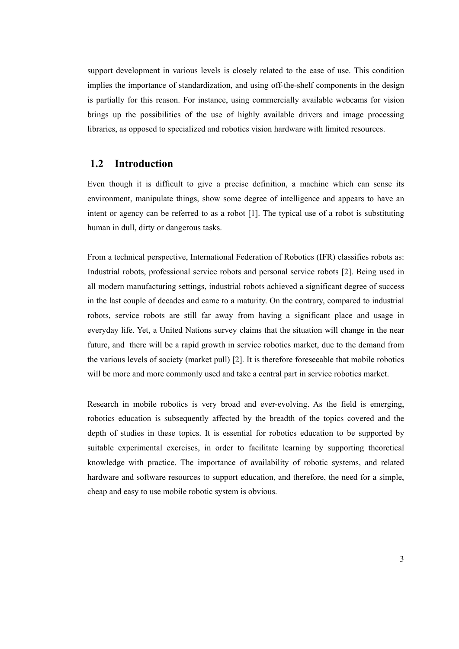support development in various levels is closely related to the ease of use. This condition implies the importance of standardization, and using off-the-shelf components in the design is partially for this reason. For instance, using commercially available webcams for vision brings up the possibilities of the use of highly available drivers and image processing libraries, as opposed to specialized and robotics vision hardware with limited resources.

#### **1.2 Introduction**

Even though it is difficult to give a precise definition, a machine which can sense its environment, manipulate things, show some degree of intelligence and appears to have an intent or agency can be referred to as a robot [1]. The typical use of a robot is substituting human in dull, dirty or dangerous tasks.

From a technical perspective, International Federation of Robotics (IFR) classifies robots as: Industrial robots, professional service robots and personal service robots [2]. Being used in all modern manufacturing settings, industrial robots achieved a significant degree of success in the last couple of decades and came to a maturity. On the contrary, compared to industrial robots, service robots are still far away from having a significant place and usage in everyday life. Yet, a United Nations survey claims that the situation will change in the near future, and there will be a rapid growth in service robotics market, due to the demand from the various levels of society (market pull) [2]. It is therefore foreseeable that mobile robotics will be more and more commonly used and take a central part in service robotics market.

Research in mobile robotics is very broad and ever-evolving. As the field is emerging, robotics education is subsequently affected by the breadth of the topics covered and the depth of studies in these topics. It is essential for robotics education to be supported by suitable experimental exercises, in order to facilitate learning by supporting theoretical knowledge with practice. The importance of availability of robotic systems, and related hardware and software resources to support education, and therefore, the need for a simple, cheap and easy to use mobile robotic system is obvious.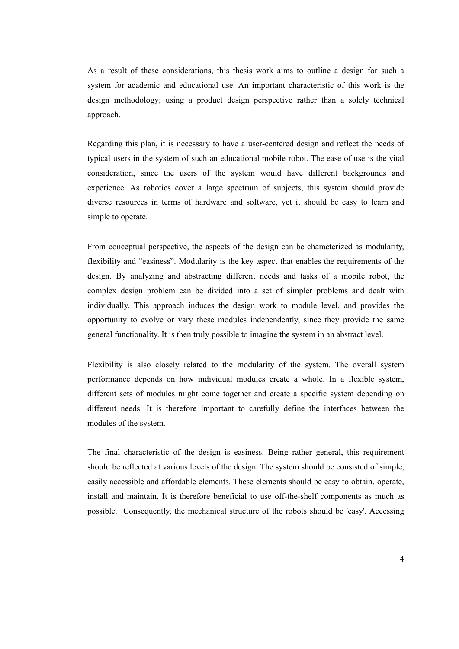As a result of these considerations, this thesis work aims to outline a design for such a system for academic and educational use. An important characteristic of this work is the design methodology; using a product design perspective rather than a solely technical approach.

Regarding this plan, it is necessary to have a user-centered design and reflect the needs of typical users in the system of such an educational mobile robot. The ease of use is the vital consideration, since the users of the system would have different backgrounds and experience. As robotics cover a large spectrum of subjects, this system should provide diverse resources in terms of hardware and software, yet it should be easy to learn and simple to operate.

From conceptual perspective, the aspects of the design can be characterized as modularity, flexibility and "easiness". Modularity is the key aspect that enables the requirements of the design. By analyzing and abstracting different needs and tasks of a mobile robot, the complex design problem can be divided into a set of simpler problems and dealt with individually. This approach induces the design work to module level, and provides the opportunity to evolve or vary these modules independently, since they provide the same general functionality. It is then truly possible to imagine the system in an abstract level.

Flexibility is also closely related to the modularity of the system. The overall system performance depends on how individual modules create a whole. In a flexible system, different sets of modules might come together and create a specific system depending on different needs. It is therefore important to carefully define the interfaces between the modules of the system.

The final characteristic of the design is easiness. Being rather general, this requirement should be reflected at various levels of the design. The system should be consisted of simple, easily accessible and affordable elements. These elements should be easy to obtain, operate, install and maintain. It is therefore beneficial to use off-the-shelf components as much as possible. Consequently, the mechanical structure of the robots should be 'easy'. Accessing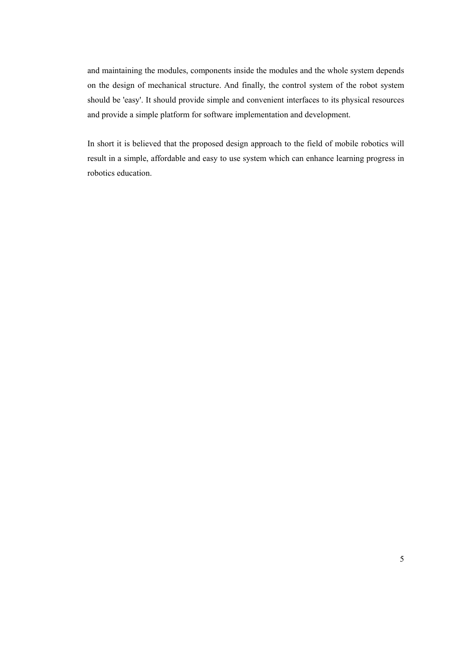and maintaining the modules, components inside the modules and the whole system depends on the design of mechanical structure. And finally, the control system of the robot system should be 'easy'. It should provide simple and convenient interfaces to its physical resources and provide a simple platform for software implementation and development.

In short it is believed that the proposed design approach to the field of mobile robotics will result in a simple, affordable and easy to use system which can enhance learning progress in robotics education.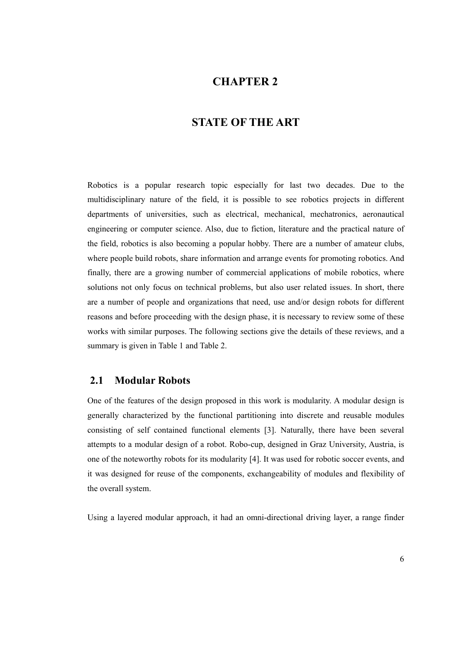## **CHAPTER 2**

### **STATE OF THE ART**

Robotics is a popular research topic especially for last two decades. Due to the multidisciplinary nature of the field, it is possible to see robotics projects in different departments of universities, such as electrical, mechanical, mechatronics, aeronautical engineering or computer science. Also, due to fiction, literature and the practical nature of the field, robotics is also becoming a popular hobby. There are a number of amateur clubs, where people build robots, share information and arrange events for promoting robotics. And finally, there are a growing number of commercial applications of mobile robotics, where solutions not only focus on technical problems, but also user related issues. In short, there are a number of people and organizations that need, use and/or design robots for different reasons and before proceeding with the design phase, it is necessary to review some of these works with similar purposes. The following sections give the details of these reviews, and a summary is given in Table 1 and Table 2.

#### **2.1 Modular Robots**

One of the features of the design proposed in this work is modularity. A modular design is generally characterized by the functional partitioning into discrete and reusable modules consisting of self contained functional elements [3]. Naturally, there have been several attempts to a modular design of a robot. Robo-cup, designed in Graz University, Austria, is one of the noteworthy robots for its modularity [4]. It was used for robotic soccer events, and it was designed for reuse of the components, exchangeability of modules and flexibility of the overall system.

Using a layered modular approach, it had an omni-directional driving layer, a range finder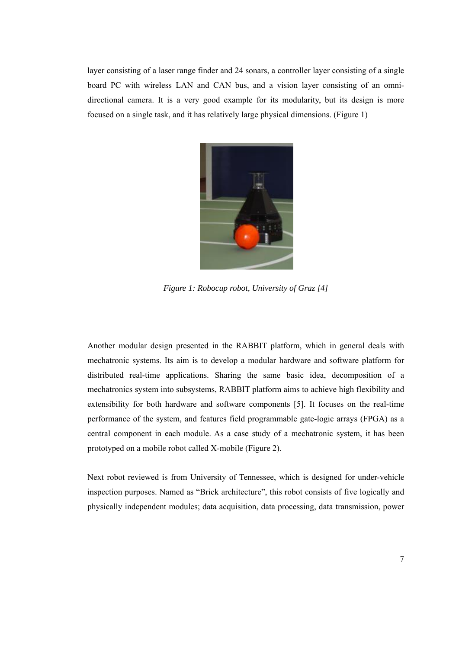layer consisting of a laser range finder and 24 sonars, a controller layer consisting of a single board PC with wireless LAN and CAN bus, and a vision layer consisting of an omnidirectional camera. It is a very good example for its modularity, but its design is more focused on a single task, and it has relatively large physical dimensions. (Figure 1)



*Figure 1: Robocup robot, University of Graz [4]* 

Another modular design presented in the RABBIT platform, which in general deals with mechatronic systems. Its aim is to develop a modular hardware and software platform for distributed real-time applications. Sharing the same basic idea, decomposition of a mechatronics system into subsystems, RABBIT platform aims to achieve high flexibility and extensibility for both hardware and software components [5]. It focuses on the real-time performance of the system, and features field programmable gate-logic arrays (FPGA) as a central component in each module. As a case study of a mechatronic system, it has been prototyped on a mobile robot called X-mobile (Figure 2).

Next robot reviewed is from University of Tennessee, which is designed for under-vehicle inspection purposes. Named as "Brick architecture", this robot consists of five logically and physically independent modules; data acquisition, data processing, data transmission, power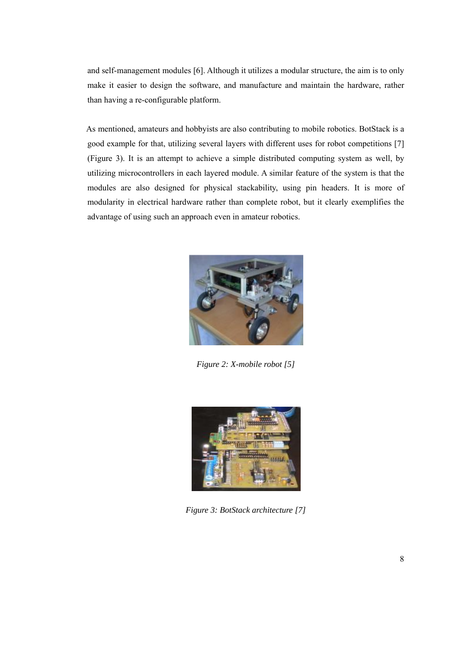and self-management modules [6]. Although it utilizes a modular structure, the aim is to only make it easier to design the software, and manufacture and maintain the hardware, rather than having a re-configurable platform.

As mentioned, amateurs and hobbyists are also contributing to mobile robotics. BotStack is a good example for that, utilizing several layers with different uses for robot competitions [7] (Figure 3). It is an attempt to achieve a simple distributed computing system as well, by utilizing microcontrollers in each layered module. A similar feature of the system is that the modules are also designed for physical stackability, using pin headers. It is more of modularity in electrical hardware rather than complete robot, but it clearly exemplifies the advantage of using such an approach even in amateur robotics.



*Figure 2: X-mobile robot [5]* 



*Figure 3: BotStack architecture [7]*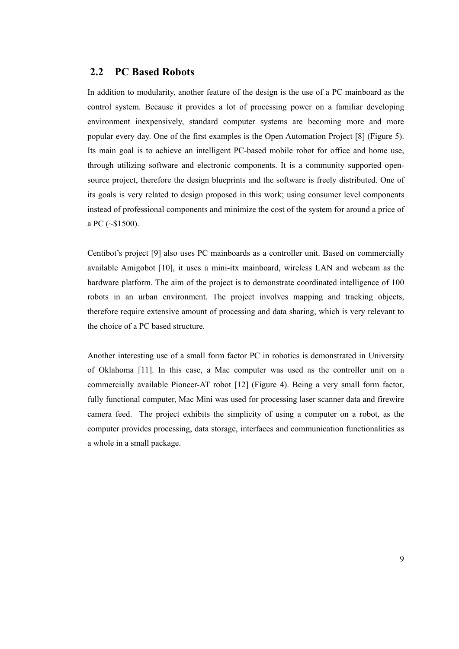### **2.2 PC Based Robots**

In addition to modularity, another feature of the design is the use of a PC mainboard as the control system. Because it provides a lot of processing power on a familiar developing environment inexpensively, standard computer systems are becoming more and more popular every day. One of the first examples is the Open Automation Project [8] (Figure 5). Its main goal is to achieve an intelligent PC-based mobile robot for office and home use, through utilizing software and electronic components. It is a community supported opensource project, therefore the design blueprints and the software is freely distributed. One of its goals is very related to design proposed in this work; using consumer level components instead of professional components and minimize the cost of the system for around a price of a PC (~\$1500).

Centibot's project [9] also uses PC mainboards as a controller unit. Based on commercially available Amigobot [10], it uses a mini-itx mainboard, wireless LAN and webcam as the hardware platform. The aim of the project is to demonstrate coordinated intelligence of 100 robots in an urban environment. The project involves mapping and tracking objects, therefore require extensive amount of processing and data sharing, which is very relevant to the choice of a PC based structure.

Another interesting use of a small form factor PC in robotics is demonstrated in University of Oklahoma [11]. In this case, a Mac computer was used as the controller unit on a commercially available Pioneer-AT robot [12] (Figure 4). Being a very small form factor, fully functional computer, Mac Mini was used for processing laser scanner data and firewire camera feed. The project exhibits the simplicity of using a computer on a robot, as the computer provides processing, data storage, interfaces and communication functionalities as a whole in a small package.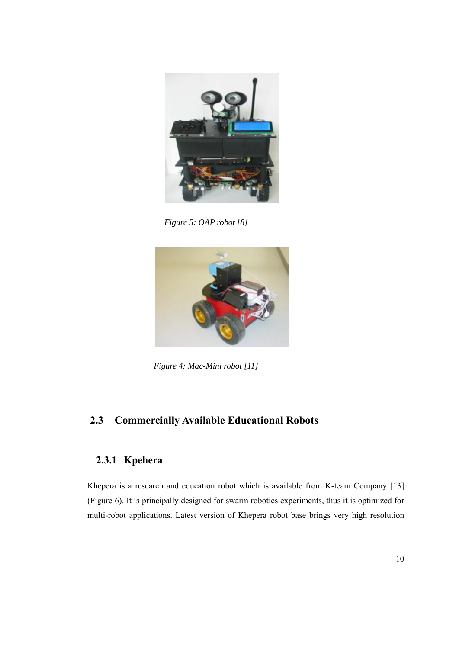

*Figure 5: OAP robot [8]* 



*Figure 4: Mac-Mini robot [11]* 

# **2.3 Commercially Available Educational Robots**

## **2.3.1 Kpehera**

Khepera is a research and education robot which is available from K-team Company [13] (Figure 6). It is principally designed for swarm robotics experiments, thus it is optimized for multi-robot applications. Latest version of Khepera robot base brings very high resolution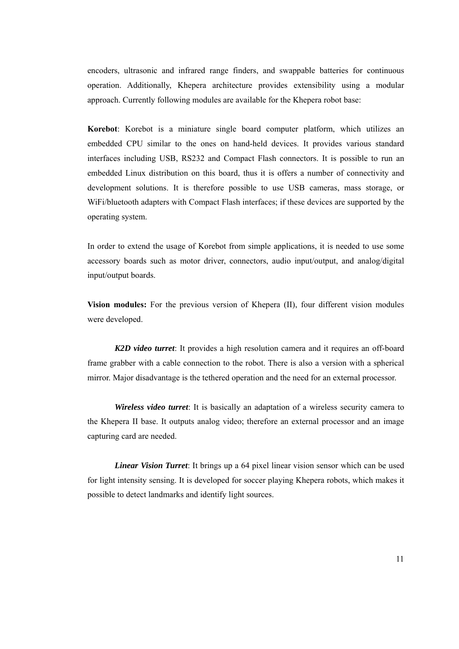encoders, ultrasonic and infrared range finders, and swappable batteries for continuous operation. Additionally, Khepera architecture provides extensibility using a modular approach. Currently following modules are available for the Khepera robot base:

**Korebot**: Korebot is a miniature single board computer platform, which utilizes an embedded CPU similar to the ones on hand-held devices. It provides various standard interfaces including USB, RS232 and Compact Flash connectors. It is possible to run an embedded Linux distribution on this board, thus it is offers a number of connectivity and development solutions. It is therefore possible to use USB cameras, mass storage, or WiFi/bluetooth adapters with Compact Flash interfaces; if these devices are supported by the operating system.

In order to extend the usage of Korebot from simple applications, it is needed to use some accessory boards such as motor driver, connectors, audio input/output, and analog/digital input/output boards.

**Vision modules:** For the previous version of Khepera (II), four different vision modules were developed.

*K2D video turret*: It provides a high resolution camera and it requires an off-board frame grabber with a cable connection to the robot. There is also a version with a spherical mirror. Major disadvantage is the tethered operation and the need for an external processor.

*Wireless video turret*: It is basically an adaptation of a wireless security camera to the Khepera II base. It outputs analog video; therefore an external processor and an image capturing card are needed.

*Linear Vision Turret*: It brings up a 64 pixel linear vision sensor which can be used for light intensity sensing. It is developed for soccer playing Khepera robots, which makes it possible to detect landmarks and identify light sources.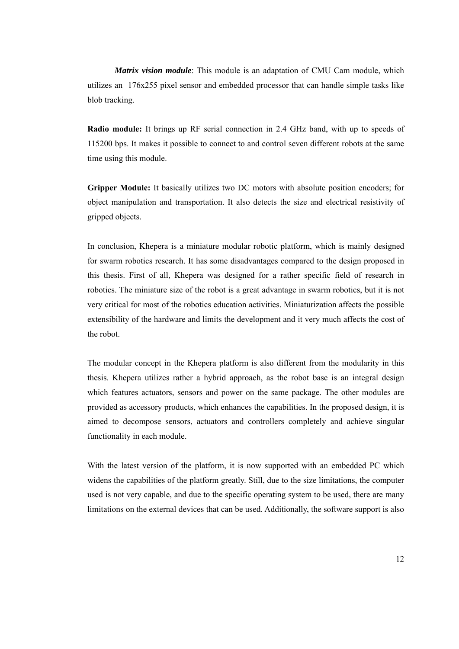*Matrix vision module*: This module is an adaptation of CMU Cam module, which utilizes an 176x255 pixel sensor and embedded processor that can handle simple tasks like blob tracking.

**Radio module:** It brings up RF serial connection in 2.4 GHz band, with up to speeds of 115200 bps. It makes it possible to connect to and control seven different robots at the same time using this module.

**Gripper Module:** It basically utilizes two DC motors with absolute position encoders; for object manipulation and transportation. It also detects the size and electrical resistivity of gripped objects.

In conclusion, Khepera is a miniature modular robotic platform, which is mainly designed for swarm robotics research. It has some disadvantages compared to the design proposed in this thesis. First of all, Khepera was designed for a rather specific field of research in robotics. The miniature size of the robot is a great advantage in swarm robotics, but it is not very critical for most of the robotics education activities. Miniaturization affects the possible extensibility of the hardware and limits the development and it very much affects the cost of the robot.

The modular concept in the Khepera platform is also different from the modularity in this thesis. Khepera utilizes rather a hybrid approach, as the robot base is an integral design which features actuators, sensors and power on the same package. The other modules are provided as accessory products, which enhances the capabilities. In the proposed design, it is aimed to decompose sensors, actuators and controllers completely and achieve singular functionality in each module.

With the latest version of the platform, it is now supported with an embedded PC which widens the capabilities of the platform greatly. Still, due to the size limitations, the computer used is not very capable, and due to the specific operating system to be used, there are many limitations on the external devices that can be used. Additionally, the software support is also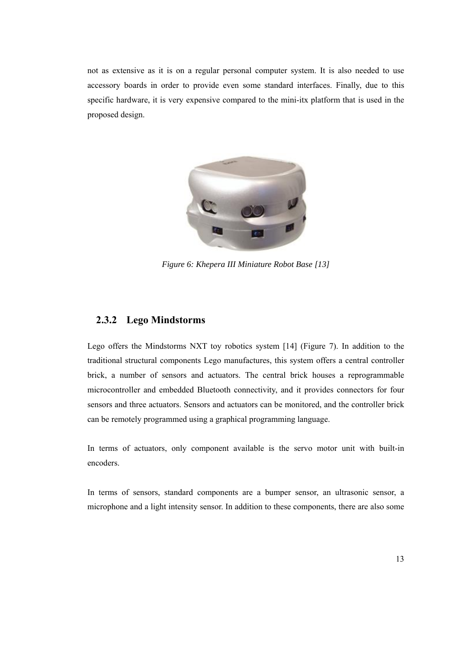not as extensive as it is on a regular personal computer system. It is also needed to use accessory boards in order to provide even some standard interfaces. Finally, due to this specific hardware, it is very expensive compared to the mini-itx platform that is used in the proposed design.



*Figure 6: Khepera III Miniature Robot Base [13]* 

#### **2.3.2 Lego Mindstorms**

Lego offers the Mindstorms NXT toy robotics system [14] (Figure 7). In addition to the traditional structural components Lego manufactures, this system offers a central controller brick, a number of sensors and actuators. The central brick houses a reprogrammable microcontroller and embedded Bluetooth connectivity, and it provides connectors for four sensors and three actuators. Sensors and actuators can be monitored, and the controller brick can be remotely programmed using a graphical programming language.

In terms of actuators, only component available is the servo motor unit with built-in encoders.

In terms of sensors, standard components are a bumper sensor, an ultrasonic sensor, a microphone and a light intensity sensor. In addition to these components, there are also some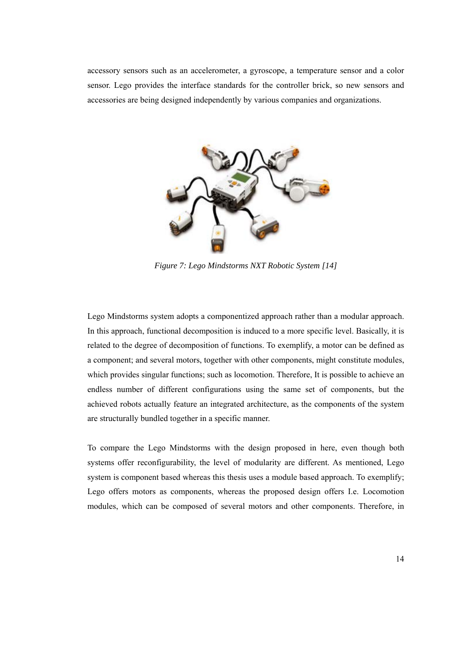accessory sensors such as an accelerometer, a gyroscope, a temperature sensor and a color sensor. Lego provides the interface standards for the controller brick, so new sensors and accessories are being designed independently by various companies and organizations.



*Figure 7: Lego Mindstorms NXT Robotic System [14]* 

Lego Mindstorms system adopts a componentized approach rather than a modular approach. In this approach, functional decomposition is induced to a more specific level. Basically, it is related to the degree of decomposition of functions. To exemplify, a motor can be defined as a component; and several motors, together with other components, might constitute modules, which provides singular functions; such as locomotion. Therefore, It is possible to achieve an endless number of different configurations using the same set of components, but the achieved robots actually feature an integrated architecture, as the components of the system are structurally bundled together in a specific manner.

To compare the Lego Mindstorms with the design proposed in here, even though both systems offer reconfigurability, the level of modularity are different. As mentioned, Lego system is component based whereas this thesis uses a module based approach. To exemplify; Lego offers motors as components, whereas the proposed design offers I.e. Locomotion modules, which can be composed of several motors and other components. Therefore, in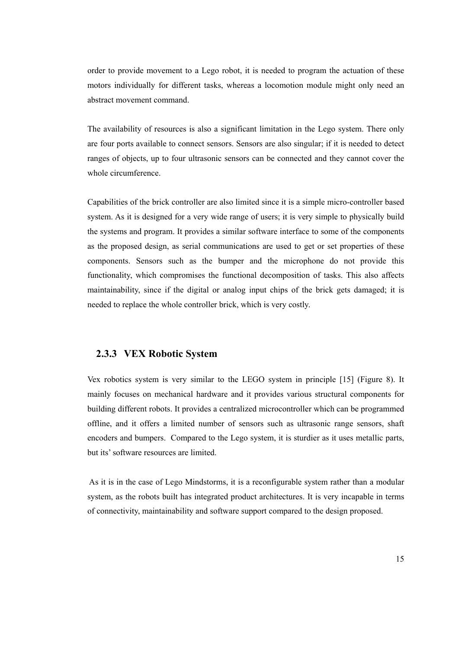order to provide movement to a Lego robot, it is needed to program the actuation of these motors individually for different tasks, whereas a locomotion module might only need an abstract movement command.

The availability of resources is also a significant limitation in the Lego system. There only are four ports available to connect sensors. Sensors are also singular; if it is needed to detect ranges of objects, up to four ultrasonic sensors can be connected and they cannot cover the whole circumference.

Capabilities of the brick controller are also limited since it is a simple micro-controller based system. As it is designed for a very wide range of users; it is very simple to physically build the systems and program. It provides a similar software interface to some of the components as the proposed design, as serial communications are used to get or set properties of these components. Sensors such as the bumper and the microphone do not provide this functionality, which compromises the functional decomposition of tasks. This also affects maintainability, since if the digital or analog input chips of the brick gets damaged; it is needed to replace the whole controller brick, which is very costly.

#### **2.3.3 VEX Robotic System**

Vex robotics system is very similar to the LEGO system in principle [15] (Figure 8). It mainly focuses on mechanical hardware and it provides various structural components for building different robots. It provides a centralized microcontroller which can be programmed offline, and it offers a limited number of sensors such as ultrasonic range sensors, shaft encoders and bumpers. Compared to the Lego system, it is sturdier as it uses metallic parts, but its' software resources are limited.

 As it is in the case of Lego Mindstorms, it is a reconfigurable system rather than a modular system, as the robots built has integrated product architectures. It is very incapable in terms of connectivity, maintainability and software support compared to the design proposed.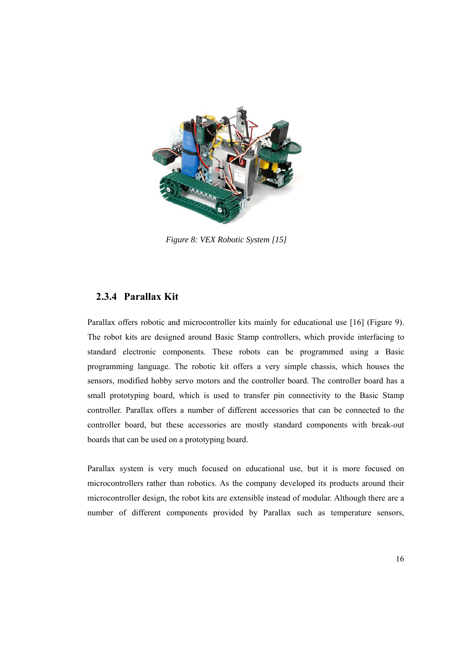

*Figure 8: VEX Robotic System [15]* 

#### **2.3.4 Parallax Kit**

Parallax offers robotic and microcontroller kits mainly for educational use [16] (Figure 9). The robot kits are designed around Basic Stamp controllers, which provide interfacing to standard electronic components. These robots can be programmed using a Basic programming language. The robotic kit offers a very simple chassis, which houses the sensors, modified hobby servo motors and the controller board. The controller board has a small prototyping board, which is used to transfer pin connectivity to the Basic Stamp controller. Parallax offers a number of different accessories that can be connected to the controller board, but these accessories are mostly standard components with break-out boards that can be used on a prototyping board.

Parallax system is very much focused on educational use, but it is more focused on microcontrollers rather than robotics. As the company developed its products around their microcontroller design, the robot kits are extensible instead of modular. Although there are a number of different components provided by Parallax such as temperature sensors,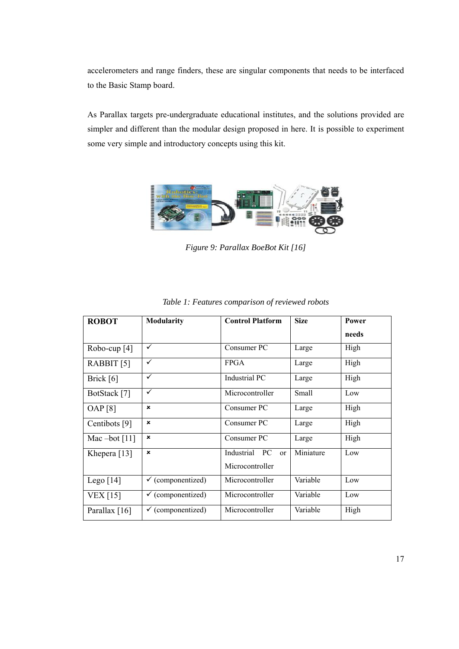accelerometers and range finders, these are singular components that needs to be interfaced to the Basic Stamp board.

As Parallax targets pre-undergraduate educational institutes, and the solutions provided are simpler and different than the modular design proposed in here. It is possible to experiment some very simple and introductory concepts using this kit.



*Figure 9: Parallax BoeBot Kit [16]* 

| <b>ROBOT</b>    | <b>Modularity</b>            | <b>Control Platform</b>      | <b>Size</b> | Power |
|-----------------|------------------------------|------------------------------|-------------|-------|
|                 |                              |                              |             | needs |
| Robo-cup $[4]$  | ✓                            | Consumer PC                  | Large       | High  |
| RABBIT [5]      | ✓                            | FPGA                         | Large       | High  |
| Brick [6]       | $\checkmark$                 | Industrial PC                | Large       | High  |
| BotStack [7]    | ✓                            | Microcontroller              | Small       | Low   |
| OAP[8]          | $\pmb{\times}$               | Consumer PC                  | Large       | High  |
| Centibots [9]   | $\boldsymbol{\mathsf{x}}$    | Consumer PC                  | Large       | High  |
| Mac $-bot$ [11] | ×                            | Consumer PC                  | Large       | High  |
| Khepera $[13]$  | $\pmb{\times}$               | Industrial<br>PC<br>$\alpha$ | Miniature   | Low   |
|                 |                              | Microcontroller              |             |       |
| Lego $[14]$     | $\checkmark$ (componentized) | Microcontroller              | Variable    | Low   |
| <b>VEX</b> [15] | $\checkmark$ (componentized) | Microcontroller              | Variable    | Low   |
| Parallax $[16]$ | $\checkmark$ (componentized) | Microcontroller              | Variable    | High  |

*Table 1: Features comparison of reviewed robots*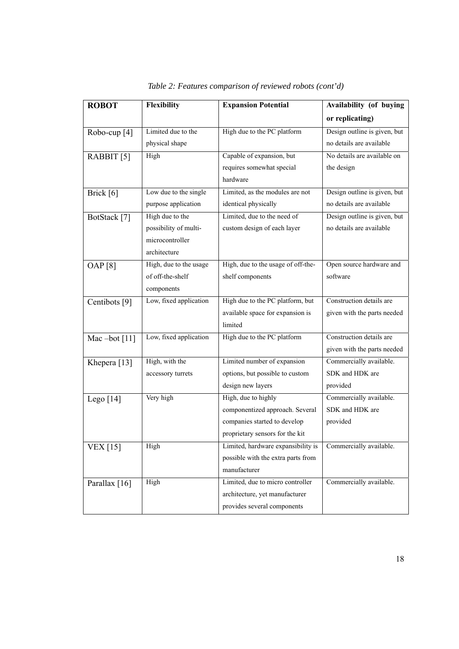| <b>ROBOT</b>            | Flexibility            | <b>Expansion Potential</b>         | Availability (of buying      |
|-------------------------|------------------------|------------------------------------|------------------------------|
|                         |                        |                                    | or replicating)              |
| Robo-cup <sup>[4]</sup> | Limited due to the     | High due to the PC platform        | Design outline is given, but |
|                         | physical shape         |                                    | no details are available     |
| RABBIT [5]              | High                   | Capable of expansion, but          | No details are available on  |
|                         |                        | requires somewhat special          | the design                   |
|                         |                        | hardware                           |                              |
| Brick [6]               | Low due to the single  | Limited, as the modules are not    | Design outline is given, but |
|                         | purpose application    | identical physically               | no details are available     |
| BotStack [7]            | High due to the        | Limited, due to the need of        | Design outline is given, but |
|                         | possibility of multi-  | custom design of each layer        | no details are available     |
|                         | microcontroller        |                                    |                              |
|                         | architecture           |                                    |                              |
| <b>OAP</b> [8]          | High, due to the usage | High, due to the usage of off-the- | Open source hardware and     |
|                         | of off-the-shelf       | shelf components                   | software                     |
|                         | components             |                                    |                              |
| Centibots [9]           | Low, fixed application | High due to the PC platform, but   | Construction details are     |
|                         |                        | available space for expansion is   | given with the parts needed  |
|                         |                        | limited                            |                              |
| Mac-bot $[11]$          | Low, fixed application | High due to the PC platform        | Construction details are     |
|                         |                        |                                    | given with the parts needed  |
| Khepera <sup>[13]</sup> | High, with the         | Limited number of expansion        | Commercially available.      |
|                         | accessory turrets      | options, but possible to custom    | SDK and HDK are              |
|                         |                        | design new layers                  | provided                     |
| Lego $[14]$             | Very high              | High, due to highly                | Commercially available.      |
|                         |                        | componentized approach. Several    | SDK and HDK are              |
|                         |                        | companies started to develop       | provided                     |
|                         |                        | proprietary sensors for the kit    |                              |
| <b>VEX</b> [15]         | High                   | Limited, hardware expansibility is | Commercially available.      |
|                         |                        | possible with the extra parts from |                              |
|                         |                        | manufacturer                       |                              |
| Parallax [16]           | High                   | Limited, due to micro controller   | Commercially available.      |
|                         |                        | architecture, yet manufacturer     |                              |
|                         |                        | provides several components        |                              |

| Table 2: Features comparison of reviewed robots (cont'd) |  |  |  |  |
|----------------------------------------------------------|--|--|--|--|
|----------------------------------------------------------|--|--|--|--|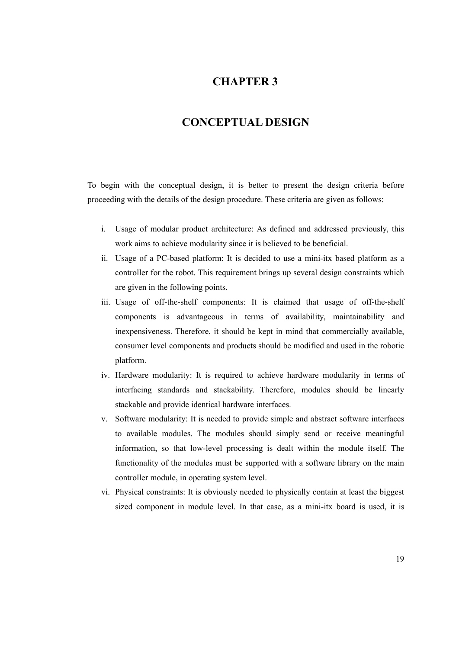## **CHAPTER 3**

## **CONCEPTUAL DESIGN**

To begin with the conceptual design, it is better to present the design criteria before proceeding with the details of the design procedure. These criteria are given as follows:

- i. Usage of modular product architecture: As defined and addressed previously, this work aims to achieve modularity since it is believed to be beneficial.
- ii. Usage of a PC-based platform: It is decided to use a mini-itx based platform as a controller for the robot. This requirement brings up several design constraints which are given in the following points.
- iii. Usage of off-the-shelf components: It is claimed that usage of off-the-shelf components is advantageous in terms of availability, maintainability and inexpensiveness. Therefore, it should be kept in mind that commercially available, consumer level components and products should be modified and used in the robotic platform.
- iv. Hardware modularity: It is required to achieve hardware modularity in terms of interfacing standards and stackability. Therefore, modules should be linearly stackable and provide identical hardware interfaces.
- v. Software modularity: It is needed to provide simple and abstract software interfaces to available modules. The modules should simply send or receive meaningful information, so that low-level processing is dealt within the module itself. The functionality of the modules must be supported with a software library on the main controller module, in operating system level.
- vi. Physical constraints: It is obviously needed to physically contain at least the biggest sized component in module level. In that case, as a mini-itx board is used, it is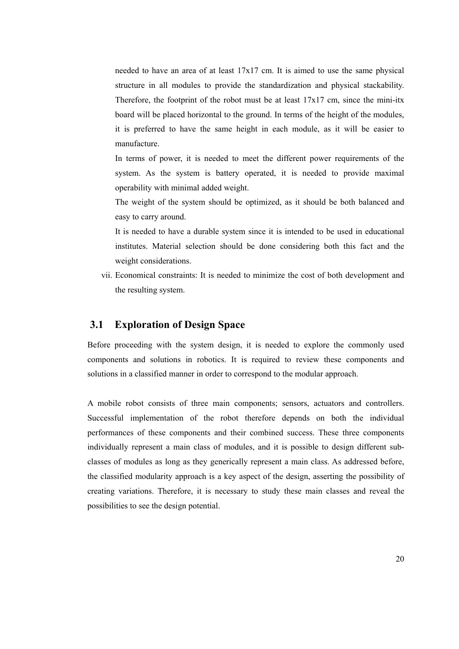needed to have an area of at least 17x17 cm. It is aimed to use the same physical structure in all modules to provide the standardization and physical stackability. Therefore, the footprint of the robot must be at least  $17x17$  cm, since the mini-itx board will be placed horizontal to the ground. In terms of the height of the modules, it is preferred to have the same height in each module, as it will be easier to manufacture.

In terms of power, it is needed to meet the different power requirements of the system. As the system is battery operated, it is needed to provide maximal operability with minimal added weight.

The weight of the system should be optimized, as it should be both balanced and easy to carry around.

It is needed to have a durable system since it is intended to be used in educational institutes. Material selection should be done considering both this fact and the weight considerations.

vii. Economical constraints: It is needed to minimize the cost of both development and the resulting system.

## **3.1 Exploration of Design Space**

Before proceeding with the system design, it is needed to explore the commonly used components and solutions in robotics. It is required to review these components and solutions in a classified manner in order to correspond to the modular approach.

A mobile robot consists of three main components; sensors, actuators and controllers. Successful implementation of the robot therefore depends on both the individual performances of these components and their combined success. These three components individually represent a main class of modules, and it is possible to design different subclasses of modules as long as they generically represent a main class. As addressed before, the classified modularity approach is a key aspect of the design, asserting the possibility of creating variations. Therefore, it is necessary to study these main classes and reveal the possibilities to see the design potential.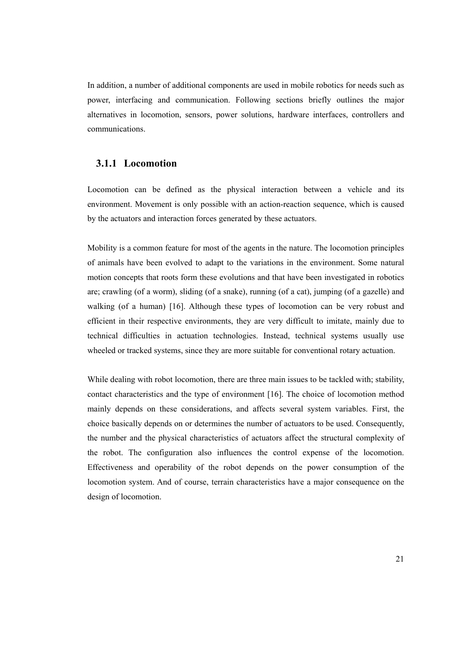In addition, a number of additional components are used in mobile robotics for needs such as power, interfacing and communication. Following sections briefly outlines the major alternatives in locomotion, sensors, power solutions, hardware interfaces, controllers and communications.

### **3.1.1 Locomotion**

Locomotion can be defined as the physical interaction between a vehicle and its environment. Movement is only possible with an action-reaction sequence, which is caused by the actuators and interaction forces generated by these actuators.

Mobility is a common feature for most of the agents in the nature. The locomotion principles of animals have been evolved to adapt to the variations in the environment. Some natural motion concepts that roots form these evolutions and that have been investigated in robotics are; crawling (of a worm), sliding (of a snake), running (of a cat), jumping (of a gazelle) and walking (of a human) [16]. Although these types of locomotion can be very robust and efficient in their respective environments, they are very difficult to imitate, mainly due to technical difficulties in actuation technologies. Instead, technical systems usually use wheeled or tracked systems, since they are more suitable for conventional rotary actuation.

While dealing with robot locomotion, there are three main issues to be tackled with; stability, contact characteristics and the type of environment [16]. The choice of locomotion method mainly depends on these considerations, and affects several system variables. First, the choice basically depends on or determines the number of actuators to be used. Consequently, the number and the physical characteristics of actuators affect the structural complexity of the robot. The configuration also influences the control expense of the locomotion. Effectiveness and operability of the robot depends on the power consumption of the locomotion system. And of course, terrain characteristics have a major consequence on the design of locomotion.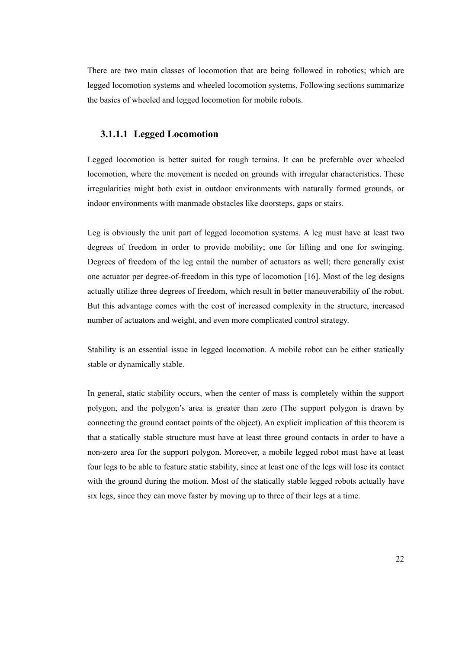There are two main classes of locomotion that are being followed in robotics; which are legged locomotion systems and wheeled locomotion systems. Following sections summarize the basics of wheeled and legged locomotion for mobile robots.

#### **3.1.1.1 Legged Locomotion**

Legged locomotion is better suited for rough terrains. It can be preferable over wheeled locomotion, where the movement is needed on grounds with irregular characteristics. These irregularities might both exist in outdoor environments with naturally formed grounds, or indoor environments with manmade obstacles like doorsteps, gaps or stairs.

Leg is obviously the unit part of legged locomotion systems. A leg must have at least two degrees of freedom in order to provide mobility; one for lifting and one for swinging. Degrees of freedom of the leg entail the number of actuators as well; there generally exist one actuator per degree-of-freedom in this type of locomotion [16]. Most of the leg designs actually utilize three degrees of freedom, which result in better maneuverability of the robot. But this advantage comes with the cost of increased complexity in the structure, increased number of actuators and weight, and even more complicated control strategy.

Stability is an essential issue in legged locomotion. A mobile robot can be either statically stable or dynamically stable.

In general, static stability occurs, when the center of mass is completely within the support polygon, and the polygon's area is greater than zero (The support polygon is drawn by connecting the ground contact points of the object). An explicit implication of this theorem is that a statically stable structure must have at least three ground contacts in order to have a non-zero area for the support polygon. Moreover, a mobile legged robot must have at least four legs to be able to feature static stability, since at least one of the legs will lose its contact with the ground during the motion. Most of the statically stable legged robots actually have six legs, since they can move faster by moving up to three of their legs at a time.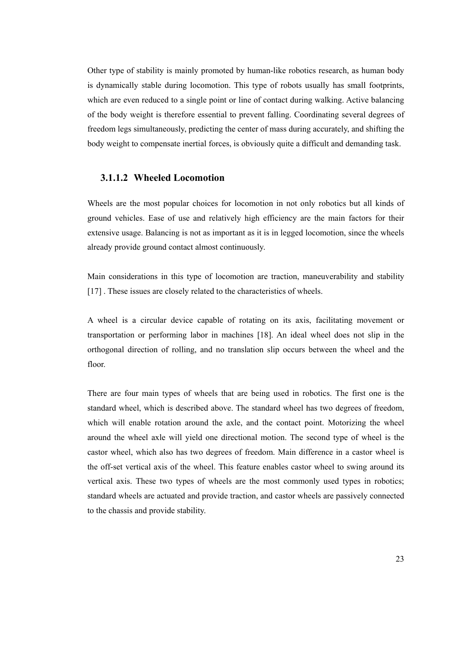Other type of stability is mainly promoted by human-like robotics research, as human body is dynamically stable during locomotion. This type of robots usually has small footprints, which are even reduced to a single point or line of contact during walking. Active balancing of the body weight is therefore essential to prevent falling. Coordinating several degrees of freedom legs simultaneously, predicting the center of mass during accurately, and shifting the body weight to compensate inertial forces, is obviously quite a difficult and demanding task.

## **3.1.1.2 Wheeled Locomotion**

Wheels are the most popular choices for locomotion in not only robotics but all kinds of ground vehicles. Ease of use and relatively high efficiency are the main factors for their extensive usage. Balancing is not as important as it is in legged locomotion, since the wheels already provide ground contact almost continuously.

Main considerations in this type of locomotion are traction, maneuverability and stability [17]. These issues are closely related to the characteristics of wheels.

A wheel is a circular device capable of rotating on its axis, facilitating movement or transportation or performing labor in machines [18]. An ideal wheel does not slip in the orthogonal direction of rolling, and no translation slip occurs between the wheel and the floor.

There are four main types of wheels that are being used in robotics. The first one is the standard wheel, which is described above. The standard wheel has two degrees of freedom, which will enable rotation around the axle, and the contact point. Motorizing the wheel around the wheel axle will yield one directional motion. The second type of wheel is the castor wheel, which also has two degrees of freedom. Main difference in a castor wheel is the off-set vertical axis of the wheel. This feature enables castor wheel to swing around its vertical axis. These two types of wheels are the most commonly used types in robotics; standard wheels are actuated and provide traction, and castor wheels are passively connected to the chassis and provide stability.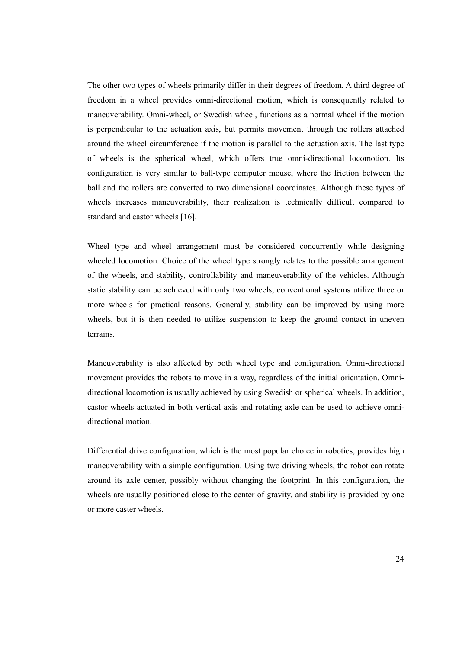The other two types of wheels primarily differ in their degrees of freedom. A third degree of freedom in a wheel provides omni-directional motion, which is consequently related to maneuverability. Omni-wheel, or Swedish wheel, functions as a normal wheel if the motion is perpendicular to the actuation axis, but permits movement through the rollers attached around the wheel circumference if the motion is parallel to the actuation axis. The last type of wheels is the spherical wheel, which offers true omni-directional locomotion. Its configuration is very similar to ball-type computer mouse, where the friction between the ball and the rollers are converted to two dimensional coordinates. Although these types of wheels increases maneuverability, their realization is technically difficult compared to standard and castor wheels [16].

Wheel type and wheel arrangement must be considered concurrently while designing wheeled locomotion. Choice of the wheel type strongly relates to the possible arrangement of the wheels, and stability, controllability and maneuverability of the vehicles. Although static stability can be achieved with only two wheels, conventional systems utilize three or more wheels for practical reasons. Generally, stability can be improved by using more wheels, but it is then needed to utilize suspension to keep the ground contact in uneven terrains.

Maneuverability is also affected by both wheel type and configuration. Omni-directional movement provides the robots to move in a way, regardless of the initial orientation. Omnidirectional locomotion is usually achieved by using Swedish or spherical wheels. In addition, castor wheels actuated in both vertical axis and rotating axle can be used to achieve omnidirectional motion.

Differential drive configuration, which is the most popular choice in robotics, provides high maneuverability with a simple configuration. Using two driving wheels, the robot can rotate around its axle center, possibly without changing the footprint. In this configuration, the wheels are usually positioned close to the center of gravity, and stability is provided by one or more caster wheels.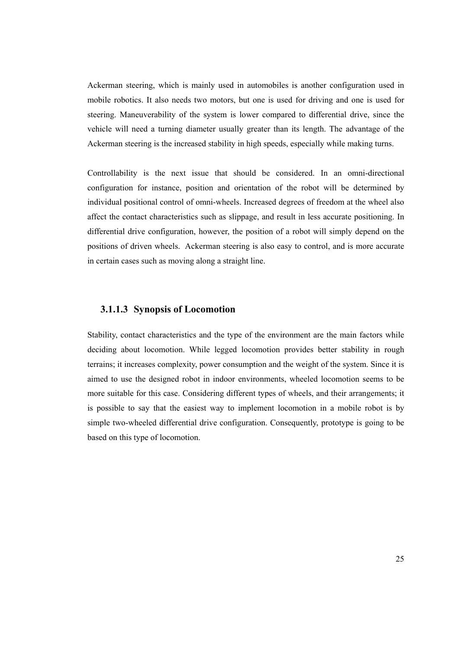Ackerman steering, which is mainly used in automobiles is another configuration used in mobile robotics. It also needs two motors, but one is used for driving and one is used for steering. Maneuverability of the system is lower compared to differential drive, since the vehicle will need a turning diameter usually greater than its length. The advantage of the Ackerman steering is the increased stability in high speeds, especially while making turns.

Controllability is the next issue that should be considered. In an omni-directional configuration for instance, position and orientation of the robot will be determined by individual positional control of omni-wheels. Increased degrees of freedom at the wheel also affect the contact characteristics such as slippage, and result in less accurate positioning. In differential drive configuration, however, the position of a robot will simply depend on the positions of driven wheels. Ackerman steering is also easy to control, and is more accurate in certain cases such as moving along a straight line.

#### **3.1.1.3 Synopsis of Locomotion**

Stability, contact characteristics and the type of the environment are the main factors while deciding about locomotion. While legged locomotion provides better stability in rough terrains; it increases complexity, power consumption and the weight of the system. Since it is aimed to use the designed robot in indoor environments, wheeled locomotion seems to be more suitable for this case. Considering different types of wheels, and their arrangements; it is possible to say that the easiest way to implement locomotion in a mobile robot is by simple two-wheeled differential drive configuration. Consequently, prototype is going to be based on this type of locomotion.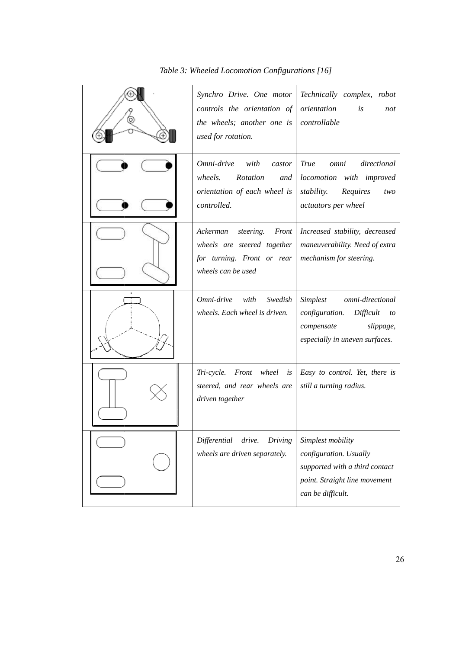| Table 3: Wheeled Locomotion Configurations [16] |                                                                                                                   |                                                                                                                                     |
|-------------------------------------------------|-------------------------------------------------------------------------------------------------------------------|-------------------------------------------------------------------------------------------------------------------------------------|
|                                                 | Synchro Drive. One motor<br>controls the orientation of<br>the wheels; another one is<br>used for rotation.       | Technically complex,<br>robot<br>orientation<br>is<br>not<br>controllable                                                           |
|                                                 | Omni-drive<br>with<br>castor<br><b>Rotation</b><br>wheels.<br>and<br>orientation of each wheel is<br>controlled.  | <b>True</b><br>directional<br>omni<br>locomotion with improved<br>stability.<br>Requires<br>two<br>actuators per wheel              |
|                                                 | Ackerman<br>steering.<br>Front<br>wheels are steered together<br>for turning. Front or rear<br>wheels can be used | Increased stability, decreased<br>maneuverability. Need of extra<br>mechanism for steering.                                         |
|                                                 | Omni-drive<br>with<br>Swedish<br>wheels. Each wheel is driven.                                                    | Simplest<br>omni-directional<br>configuration.<br>Difficult<br>to<br>slippage,<br>compensate<br>especially in uneven surfaces.      |
|                                                 | wheel<br>Tri-cycle.<br>Front<br>is<br>steered, and rear wheels are<br>driven together                             | Easy to control. Yet, there is<br>still a turning radius.                                                                           |
|                                                 | Differential<br>drive.<br>Driving<br>wheels are driven separately.                                                | Simplest mobility<br>configuration. Usually<br>supported with a third contact<br>point. Straight line movement<br>can be difficult. |

#### Table 3: Wheeled Locomotion Configurations [16]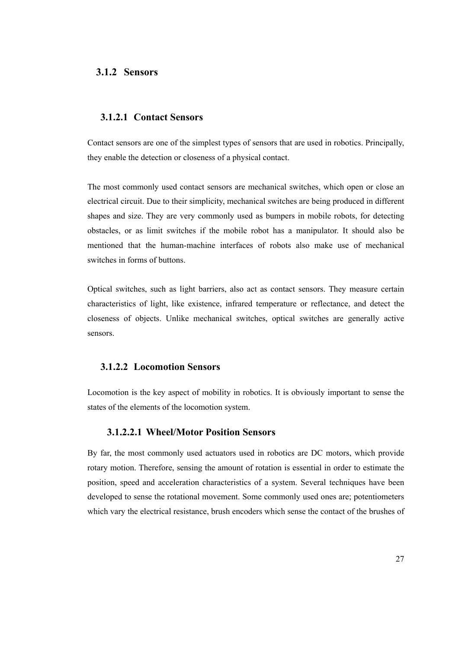## **3.1.2 Sensors**

## **3.1.2.1 Contact Sensors**

Contact sensors are one of the simplest types of sensors that are used in robotics. Principally, they enable the detection or closeness of a physical contact.

The most commonly used contact sensors are mechanical switches, which open or close an electrical circuit. Due to their simplicity, mechanical switches are being produced in different shapes and size. They are very commonly used as bumpers in mobile robots, for detecting obstacles, or as limit switches if the mobile robot has a manipulator. It should also be mentioned that the human-machine interfaces of robots also make use of mechanical switches in forms of buttons.

Optical switches, such as light barriers, also act as contact sensors. They measure certain characteristics of light, like existence, infrared temperature or reflectance, and detect the closeness of objects. Unlike mechanical switches, optical switches are generally active sensors.

## **3.1.2.2 Locomotion Sensors**

Locomotion is the key aspect of mobility in robotics. It is obviously important to sense the states of the elements of the locomotion system.

### **3.1.2.2.1 Wheel/Motor Position Sensors**

By far, the most commonly used actuators used in robotics are DC motors, which provide rotary motion. Therefore, sensing the amount of rotation is essential in order to estimate the position, speed and acceleration characteristics of a system. Several techniques have been developed to sense the rotational movement. Some commonly used ones are; potentiometers which vary the electrical resistance, brush encoders which sense the contact of the brushes of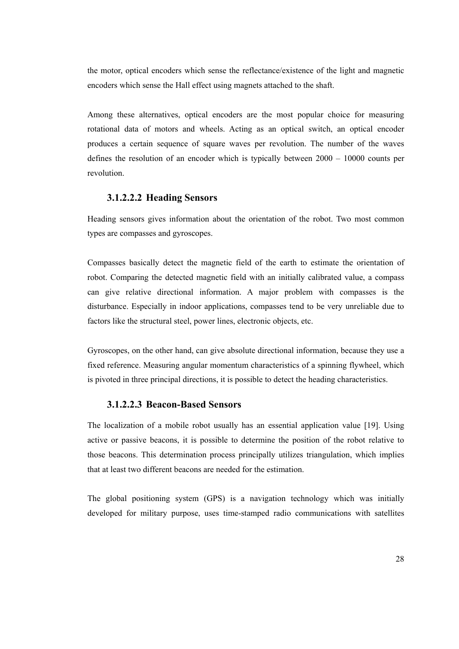the motor, optical encoders which sense the reflectance/existence of the light and magnetic encoders which sense the Hall effect using magnets attached to the shaft.

Among these alternatives, optical encoders are the most popular choice for measuring rotational data of motors and wheels. Acting as an optical switch, an optical encoder produces a certain sequence of square waves per revolution. The number of the waves defines the resolution of an encoder which is typically between 2000 – 10000 counts per revolution.

## **3.1.2.2.2 Heading Sensors**

Heading sensors gives information about the orientation of the robot. Two most common types are compasses and gyroscopes.

Compasses basically detect the magnetic field of the earth to estimate the orientation of robot. Comparing the detected magnetic field with an initially calibrated value, a compass can give relative directional information. A major problem with compasses is the disturbance. Especially in indoor applications, compasses tend to be very unreliable due to factors like the structural steel, power lines, electronic objects, etc.

Gyroscopes, on the other hand, can give absolute directional information, because they use a fixed reference. Measuring angular momentum characteristics of a spinning flywheel, which is pivoted in three principal directions, it is possible to detect the heading characteristics.

#### **3.1.2.2.3 Beacon-Based Sensors**

The localization of a mobile robot usually has an essential application value [19]. Using active or passive beacons, it is possible to determine the position of the robot relative to those beacons. This determination process principally utilizes triangulation, which implies that at least two different beacons are needed for the estimation.

The global positioning system (GPS) is a navigation technology which was initially developed for military purpose, uses time-stamped radio communications with satellites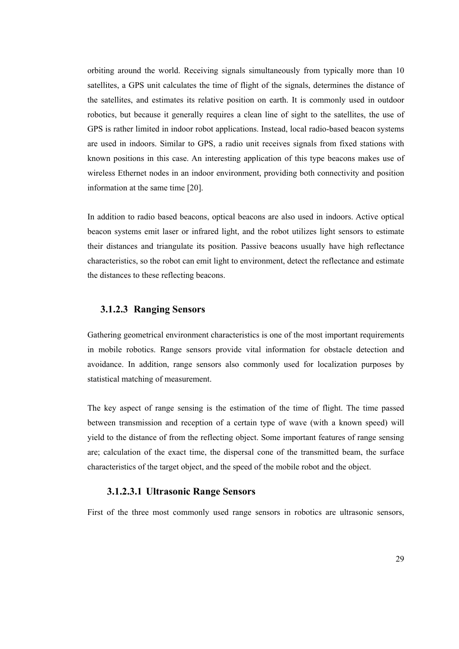orbiting around the world. Receiving signals simultaneously from typically more than 10 satellites, a GPS unit calculates the time of flight of the signals, determines the distance of the satellites, and estimates its relative position on earth. It is commonly used in outdoor robotics, but because it generally requires a clean line of sight to the satellites, the use of GPS is rather limited in indoor robot applications. Instead, local radio-based beacon systems are used in indoors. Similar to GPS, a radio unit receives signals from fixed stations with known positions in this case. An interesting application of this type beacons makes use of wireless Ethernet nodes in an indoor environment, providing both connectivity and position information at the same time [20].

In addition to radio based beacons, optical beacons are also used in indoors. Active optical beacon systems emit laser or infrared light, and the robot utilizes light sensors to estimate their distances and triangulate its position. Passive beacons usually have high reflectance characteristics, so the robot can emit light to environment, detect the reflectance and estimate the distances to these reflecting beacons.

#### **3.1.2.3 Ranging Sensors**

Gathering geometrical environment characteristics is one of the most important requirements in mobile robotics. Range sensors provide vital information for obstacle detection and avoidance. In addition, range sensors also commonly used for localization purposes by statistical matching of measurement.

The key aspect of range sensing is the estimation of the time of flight. The time passed between transmission and reception of a certain type of wave (with a known speed) will yield to the distance of from the reflecting object. Some important features of range sensing are; calculation of the exact time, the dispersal cone of the transmitted beam, the surface characteristics of the target object, and the speed of the mobile robot and the object.

#### **3.1.2.3.1 Ultrasonic Range Sensors**

First of the three most commonly used range sensors in robotics are ultrasonic sensors,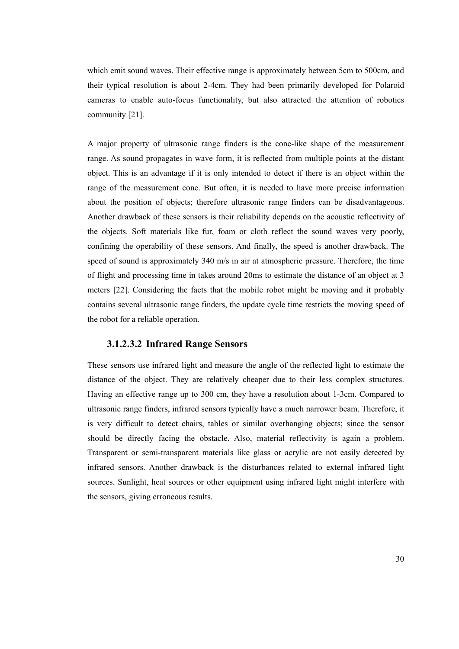which emit sound waves. Their effective range is approximately between 5cm to 500cm, and their typical resolution is about 2-4cm. They had been primarily developed for Polaroid cameras to enable auto-focus functionality, but also attracted the attention of robotics community [21].

A major property of ultrasonic range finders is the cone-like shape of the measurement range. As sound propagates in wave form, it is reflected from multiple points at the distant object. This is an advantage if it is only intended to detect if there is an object within the range of the measurement cone. But often, it is needed to have more precise information about the position of objects; therefore ultrasonic range finders can be disadvantageous. Another drawback of these sensors is their reliability depends on the acoustic reflectivity of the objects. Soft materials like fur, foam or cloth reflect the sound waves very poorly, confining the operability of these sensors. And finally, the speed is another drawback. The speed of sound is approximately 340 m/s in air at atmospheric pressure. Therefore, the time of flight and processing time in takes around 20ms to estimate the distance of an object at 3 meters [22]. Considering the facts that the mobile robot might be moving and it probably contains several ultrasonic range finders, the update cycle time restricts the moving speed of the robot for a reliable operation.

#### **3.1.2.3.2 Infrared Range Sensors**

These sensors use infrared light and measure the angle of the reflected light to estimate the distance of the object. They are relatively cheaper due to their less complex structures. Having an effective range up to 300 cm, they have a resolution about 1-3cm. Compared to ultrasonic range finders, infrared sensors typically have a much narrower beam. Therefore, it is very difficult to detect chairs, tables or similar overhanging objects; since the sensor should be directly facing the obstacle. Also, material reflectivity is again a problem. Transparent or semi-transparent materials like glass or acrylic are not easily detected by infrared sensors. Another drawback is the disturbances related to external infrared light sources. Sunlight, heat sources or other equipment using infrared light might interfere with the sensors, giving erroneous results.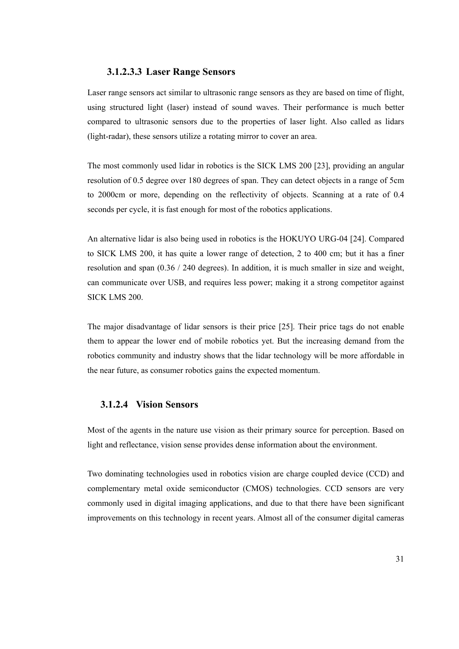## **3.1.2.3.3 Laser Range Sensors**

Laser range sensors act similar to ultrasonic range sensors as they are based on time of flight, using structured light (laser) instead of sound waves. Their performance is much better compared to ultrasonic sensors due to the properties of laser light. Also called as lidars (light-radar), these sensors utilize a rotating mirror to cover an area.

The most commonly used lidar in robotics is the SICK LMS 200 [23], providing an angular resolution of 0.5 degree over 180 degrees of span. They can detect objects in a range of 5cm to 2000cm or more, depending on the reflectivity of objects. Scanning at a rate of 0.4 seconds per cycle, it is fast enough for most of the robotics applications.

An alternative lidar is also being used in robotics is the HOKUYO URG-04 [24]. Compared to SICK LMS 200, it has quite a lower range of detection, 2 to 400 cm; but it has a finer resolution and span (0.36 / 240 degrees). In addition, it is much smaller in size and weight, can communicate over USB, and requires less power; making it a strong competitor against SICK LMS 200.

The major disadvantage of lidar sensors is their price [25]. Their price tags do not enable them to appear the lower end of mobile robotics yet. But the increasing demand from the robotics community and industry shows that the lidar technology will be more affordable in the near future, as consumer robotics gains the expected momentum.

## **3.1.2.4 Vision Sensors**

Most of the agents in the nature use vision as their primary source for perception. Based on light and reflectance, vision sense provides dense information about the environment.

Two dominating technologies used in robotics vision are charge coupled device (CCD) and complementary metal oxide semiconductor (CMOS) technologies. CCD sensors are very commonly used in digital imaging applications, and due to that there have been significant improvements on this technology in recent years. Almost all of the consumer digital cameras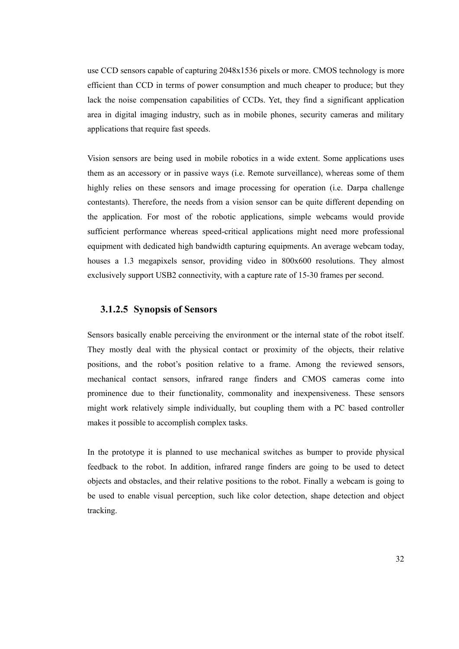use CCD sensors capable of capturing 2048x1536 pixels or more. CMOS technology is more efficient than CCD in terms of power consumption and much cheaper to produce; but they lack the noise compensation capabilities of CCDs. Yet, they find a significant application area in digital imaging industry, such as in mobile phones, security cameras and military applications that require fast speeds.

Vision sensors are being used in mobile robotics in a wide extent. Some applications uses them as an accessory or in passive ways (i.e. Remote surveillance), whereas some of them highly relies on these sensors and image processing for operation (i.e. Darpa challenge contestants). Therefore, the needs from a vision sensor can be quite different depending on the application. For most of the robotic applications, simple webcams would provide sufficient performance whereas speed-critical applications might need more professional equipment with dedicated high bandwidth capturing equipments. An average webcam today, houses a 1.3 megapixels sensor, providing video in 800x600 resolutions. They almost exclusively support USB2 connectivity, with a capture rate of 15-30 frames per second.

## **3.1.2.5 Synopsis of Sensors**

Sensors basically enable perceiving the environment or the internal state of the robot itself. They mostly deal with the physical contact or proximity of the objects, their relative positions, and the robot's position relative to a frame. Among the reviewed sensors, mechanical contact sensors, infrared range finders and CMOS cameras come into prominence due to their functionality, commonality and inexpensiveness. These sensors might work relatively simple individually, but coupling them with a PC based controller makes it possible to accomplish complex tasks.

In the prototype it is planned to use mechanical switches as bumper to provide physical feedback to the robot. In addition, infrared range finders are going to be used to detect objects and obstacles, and their relative positions to the robot. Finally a webcam is going to be used to enable visual perception, such like color detection, shape detection and object tracking.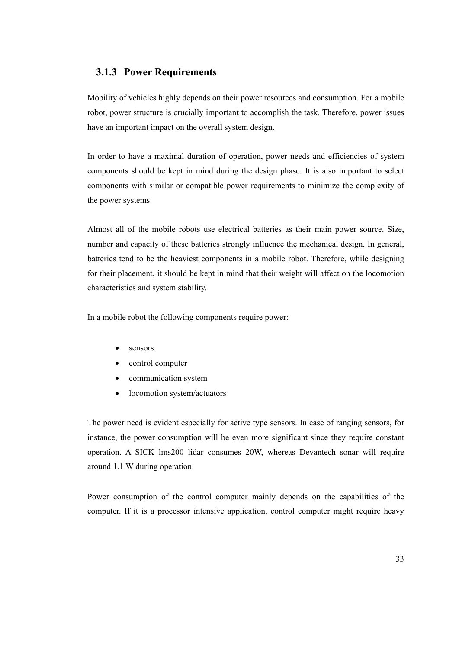## **3.1.3 Power Requirements**

Mobility of vehicles highly depends on their power resources and consumption. For a mobile robot, power structure is crucially important to accomplish the task. Therefore, power issues have an important impact on the overall system design.

In order to have a maximal duration of operation, power needs and efficiencies of system components should be kept in mind during the design phase. It is also important to select components with similar or compatible power requirements to minimize the complexity of the power systems.

Almost all of the mobile robots use electrical batteries as their main power source. Size, number and capacity of these batteries strongly influence the mechanical design. In general, batteries tend to be the heaviest components in a mobile robot. Therefore, while designing for their placement, it should be kept in mind that their weight will affect on the locomotion characteristics and system stability.

In a mobile robot the following components require power:

- sensors
- control computer
- communication system
- locomotion system/actuators

The power need is evident especially for active type sensors. In case of ranging sensors, for instance, the power consumption will be even more significant since they require constant operation. A SICK lms200 lidar consumes 20W, whereas Devantech sonar will require around 1.1 W during operation.

Power consumption of the control computer mainly depends on the capabilities of the computer. If it is a processor intensive application, control computer might require heavy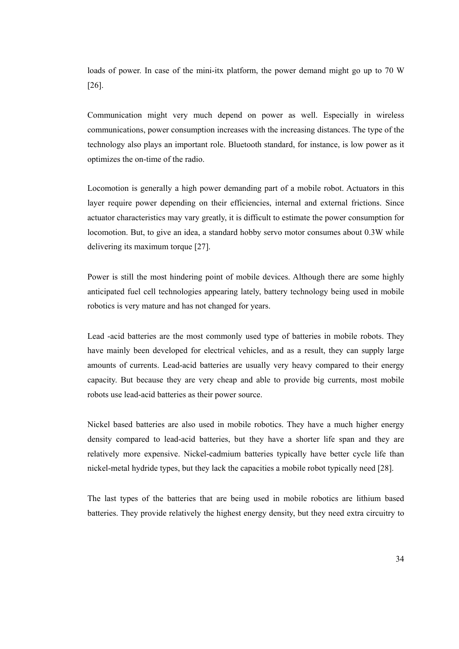loads of power. In case of the mini-itx platform, the power demand might go up to 70 W [26].

Communication might very much depend on power as well. Especially in wireless communications, power consumption increases with the increasing distances. The type of the technology also plays an important role. Bluetooth standard, for instance, is low power as it optimizes the on-time of the radio.

Locomotion is generally a high power demanding part of a mobile robot. Actuators in this layer require power depending on their efficiencies, internal and external frictions. Since actuator characteristics may vary greatly, it is difficult to estimate the power consumption for locomotion. But, to give an idea, a standard hobby servo motor consumes about 0.3W while delivering its maximum torque [27].

Power is still the most hindering point of mobile devices. Although there are some highly anticipated fuel cell technologies appearing lately, battery technology being used in mobile robotics is very mature and has not changed for years.

Lead -acid batteries are the most commonly used type of batteries in mobile robots. They have mainly been developed for electrical vehicles, and as a result, they can supply large amounts of currents. Lead-acid batteries are usually very heavy compared to their energy capacity. But because they are very cheap and able to provide big currents, most mobile robots use lead-acid batteries as their power source.

Nickel based batteries are also used in mobile robotics. They have a much higher energy density compared to lead-acid batteries, but they have a shorter life span and they are relatively more expensive. Nickel-cadmium batteries typically have better cycle life than nickel-metal hydride types, but they lack the capacities a mobile robot typically need [28].

The last types of the batteries that are being used in mobile robotics are lithium based batteries. They provide relatively the highest energy density, but they need extra circuitry to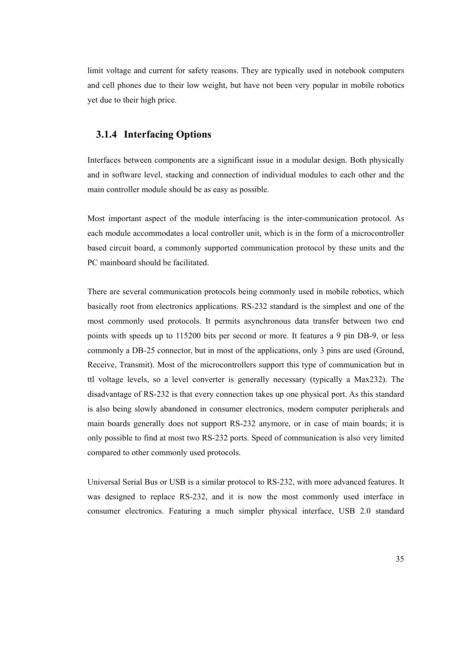limit voltage and current for safety reasons. They are typically used in notebook computers and cell phones due to their low weight, but have not been very popular in mobile robotics yet due to their high price.

## **3.1.4 Interfacing Options**

Interfaces between components are a significant issue in a modular design. Both physically and in software level, stacking and connection of individual modules to each other and the main controller module should be as easy as possible.

Most important aspect of the module interfacing is the inter-communication protocol. As each module accommodates a local controller unit, which is in the form of a microcontroller based circuit board, a commonly supported communication protocol by these units and the PC mainboard should be facilitated.

There are several communication protocols being commonly used in mobile robotics, which basically root from electronics applications. RS-232 standard is the simplest and one of the most commonly used protocols. It permits asynchronous data transfer between two end points with speeds up to 115200 bits per second or more. It features a 9 pin DB-9, or less commonly a DB-25 connector, but in most of the applications, only 3 pins are used (Ground, Receive, Transmit). Most of the microcontrollers support this type of communication but in ttl voltage levels, so a level converter is generally necessary (typically a Max232). The disadvantage of RS-232 is that every connection takes up one physical port. As this standard is also being slowly abandoned in consumer electronics, modern computer peripherals and main boards generally does not support RS-232 anymore, or in case of main boards; it is only possible to find at most two RS-232 ports. Speed of communication is also very limited compared to other commonly used protocols.

Universal Serial Bus or USB is a similar protocol to RS-232, with more advanced features. It was designed to replace RS-232, and it is now the most commonly used interface in consumer electronics. Featuring a much simpler physical interface, USB 2.0 standard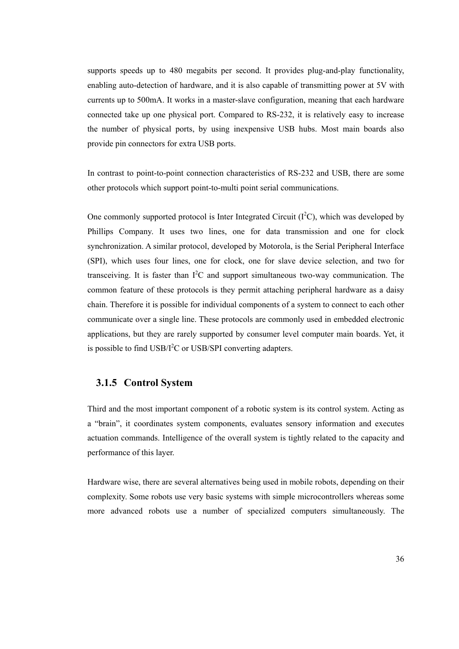supports speeds up to 480 megabits per second. It provides plug-and-play functionality, enabling auto-detection of hardware, and it is also capable of transmitting power at 5V with currents up to 500mA. It works in a master-slave configuration, meaning that each hardware connected take up one physical port. Compared to RS-232, it is relatively easy to increase the number of physical ports, by using inexpensive USB hubs. Most main boards also provide pin connectors for extra USB ports.

In contrast to point-to-point connection characteristics of RS-232 and USB, there are some other protocols which support point-to-multi point serial communications.

One commonly supported protocol is Inter Integrated Circuit  $(I<sup>2</sup>C)$ , which was developed by Phillips Company. It uses two lines, one for data transmission and one for clock synchronization. A similar protocol, developed by Motorola, is the Serial Peripheral Interface (SPI), which uses four lines, one for clock, one for slave device selection, and two for transceiving. It is faster than  $I^2C$  and support simultaneous two-way communication. The common feature of these protocols is they permit attaching peripheral hardware as a daisy chain. Therefore it is possible for individual components of a system to connect to each other communicate over a single line. These protocols are commonly used in embedded electronic applications, but they are rarely supported by consumer level computer main boards. Yet, it is possible to find  $\text{USB}/\text{I}^2\text{C}$  or  $\text{USB}/\text{SPI}$  converting adapters.

#### **3.1.5 Control System**

Third and the most important component of a robotic system is its control system. Acting as a "brain", it coordinates system components, evaluates sensory information and executes actuation commands. Intelligence of the overall system is tightly related to the capacity and performance of this layer.

Hardware wise, there are several alternatives being used in mobile robots, depending on their complexity. Some robots use very basic systems with simple microcontrollers whereas some more advanced robots use a number of specialized computers simultaneously. The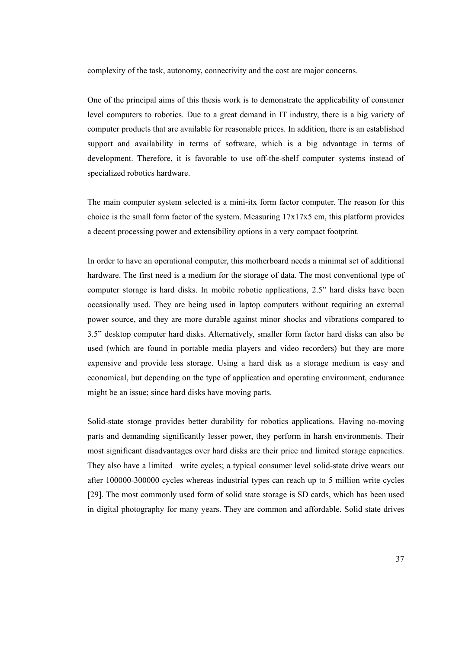complexity of the task, autonomy, connectivity and the cost are major concerns.

One of the principal aims of this thesis work is to demonstrate the applicability of consumer level computers to robotics. Due to a great demand in IT industry, there is a big variety of computer products that are available for reasonable prices. In addition, there is an established support and availability in terms of software, which is a big advantage in terms of development. Therefore, it is favorable to use off-the-shelf computer systems instead of specialized robotics hardware.

The main computer system selected is a mini-itx form factor computer. The reason for this choice is the small form factor of the system. Measuring  $17x17x5$  cm, this platform provides a decent processing power and extensibility options in a very compact footprint.

In order to have an operational computer, this motherboard needs a minimal set of additional hardware. The first need is a medium for the storage of data. The most conventional type of computer storage is hard disks. In mobile robotic applications, 2.5" hard disks have been occasionally used. They are being used in laptop computers without requiring an external power source, and they are more durable against minor shocks and vibrations compared to 3.5" desktop computer hard disks. Alternatively, smaller form factor hard disks can also be used (which are found in portable media players and video recorders) but they are more expensive and provide less storage. Using a hard disk as a storage medium is easy and economical, but depending on the type of application and operating environment, endurance might be an issue; since hard disks have moving parts.

Solid-state storage provides better durability for robotics applications. Having no-moving parts and demanding significantly lesser power, they perform in harsh environments. Their most significant disadvantages over hard disks are their price and limited storage capacities. They also have a limited write cycles; a typical consumer level solid-state drive wears out after 100000-300000 cycles whereas industrial types can reach up to 5 million write cycles [29]. The most commonly used form of solid state storage is SD cards, which has been used in digital photography for many years. They are common and affordable. Solid state drives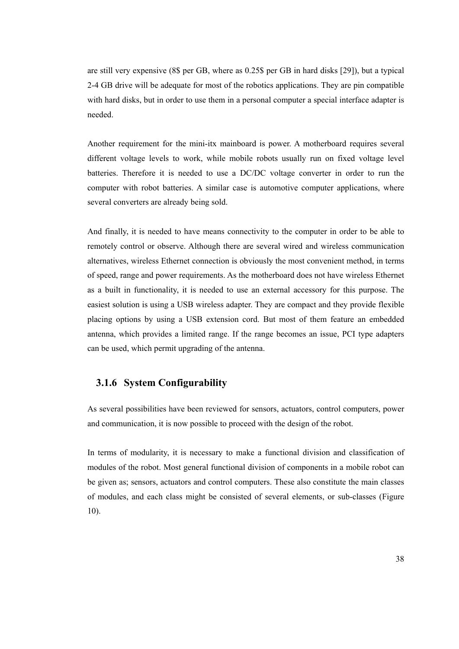are still very expensive (8\$ per GB, where as 0.25\$ per GB in hard disks [29]), but a typical 2-4 GB drive will be adequate for most of the robotics applications. They are pin compatible with hard disks, but in order to use them in a personal computer a special interface adapter is needed.

Another requirement for the mini-itx mainboard is power. A motherboard requires several different voltage levels to work, while mobile robots usually run on fixed voltage level batteries. Therefore it is needed to use a DC/DC voltage converter in order to run the computer with robot batteries. A similar case is automotive computer applications, where several converters are already being sold.

And finally, it is needed to have means connectivity to the computer in order to be able to remotely control or observe. Although there are several wired and wireless communication alternatives, wireless Ethernet connection is obviously the most convenient method, in terms of speed, range and power requirements. As the motherboard does not have wireless Ethernet as a built in functionality, it is needed to use an external accessory for this purpose. The easiest solution is using a USB wireless adapter. They are compact and they provide flexible placing options by using a USB extension cord. But most of them feature an embedded antenna, which provides a limited range. If the range becomes an issue, PCI type adapters can be used, which permit upgrading of the antenna.

## **3.1.6 System Configurability**

As several possibilities have been reviewed for sensors, actuators, control computers, power and communication, it is now possible to proceed with the design of the robot.

In terms of modularity, it is necessary to make a functional division and classification of modules of the robot. Most general functional division of components in a mobile robot can be given as; sensors, actuators and control computers. These also constitute the main classes of modules, and each class might be consisted of several elements, or sub-classes (Figure 10).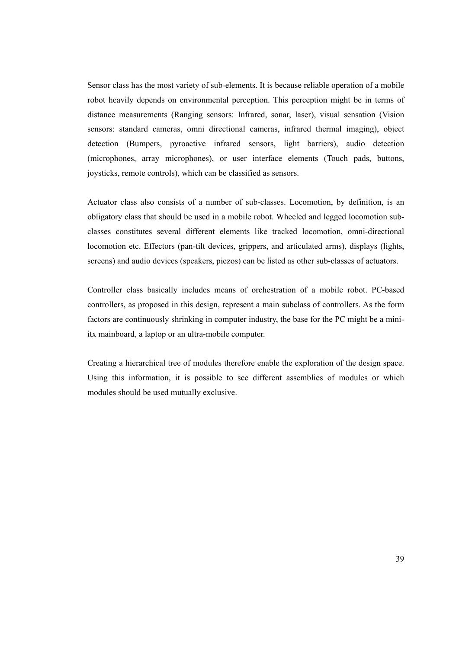Sensor class has the most variety of sub-elements. It is because reliable operation of a mobile robot heavily depends on environmental perception. This perception might be in terms of distance measurements (Ranging sensors: Infrared, sonar, laser), visual sensation (Vision sensors: standard cameras, omni directional cameras, infrared thermal imaging), object detection (Bumpers, pyroactive infrared sensors, light barriers), audio detection (microphones, array microphones), or user interface elements (Touch pads, buttons, joysticks, remote controls), which can be classified as sensors.

Actuator class also consists of a number of sub-classes. Locomotion, by definition, is an obligatory class that should be used in a mobile robot. Wheeled and legged locomotion subclasses constitutes several different elements like tracked locomotion, omni-directional locomotion etc. Effectors (pan-tilt devices, grippers, and articulated arms), displays (lights, screens) and audio devices (speakers, piezos) can be listed as other sub-classes of actuators.

Controller class basically includes means of orchestration of a mobile robot. PC-based controllers, as proposed in this design, represent a main subclass of controllers. As the form factors are continuously shrinking in computer industry, the base for the PC might be a miniitx mainboard, a laptop or an ultra-mobile computer.

Creating a hierarchical tree of modules therefore enable the exploration of the design space. Using this information, it is possible to see different assemblies of modules or which modules should be used mutually exclusive.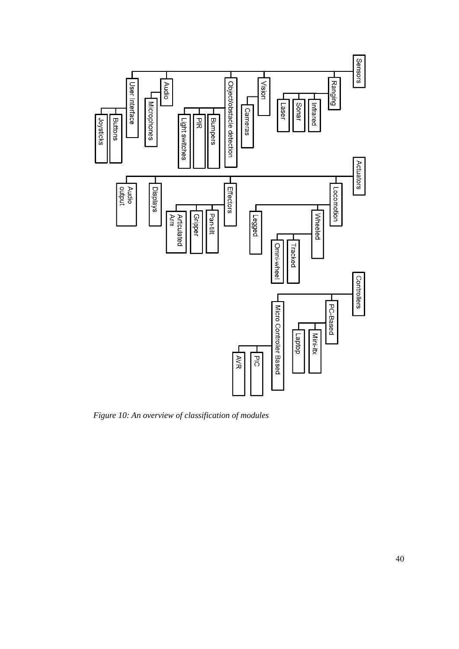

*Figure 10: An overview of classification of modules*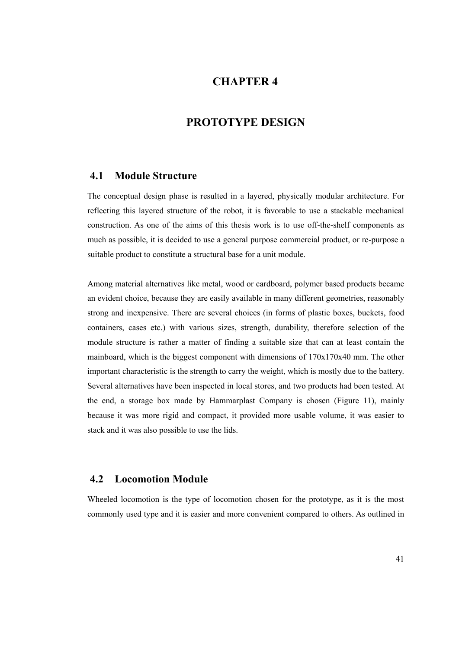# **CHAPTER 4**

# **PROTOTYPE DESIGN**

## **4.1 Module Structure**

The conceptual design phase is resulted in a layered, physically modular architecture. For reflecting this layered structure of the robot, it is favorable to use a stackable mechanical construction. As one of the aims of this thesis work is to use off-the-shelf components as much as possible, it is decided to use a general purpose commercial product, or re-purpose a suitable product to constitute a structural base for a unit module.

Among material alternatives like metal, wood or cardboard, polymer based products became an evident choice, because they are easily available in many different geometries, reasonably strong and inexpensive. There are several choices (in forms of plastic boxes, buckets, food containers, cases etc.) with various sizes, strength, durability, therefore selection of the module structure is rather a matter of finding a suitable size that can at least contain the mainboard, which is the biggest component with dimensions of 170x170x40 mm. The other important characteristic is the strength to carry the weight, which is mostly due to the battery. Several alternatives have been inspected in local stores, and two products had been tested. At the end, a storage box made by Hammarplast Company is chosen (Figure 11), mainly because it was more rigid and compact, it provided more usable volume, it was easier to stack and it was also possible to use the lids.

## **4.2 Locomotion Module**

Wheeled locomotion is the type of locomotion chosen for the prototype, as it is the most commonly used type and it is easier and more convenient compared to others. As outlined in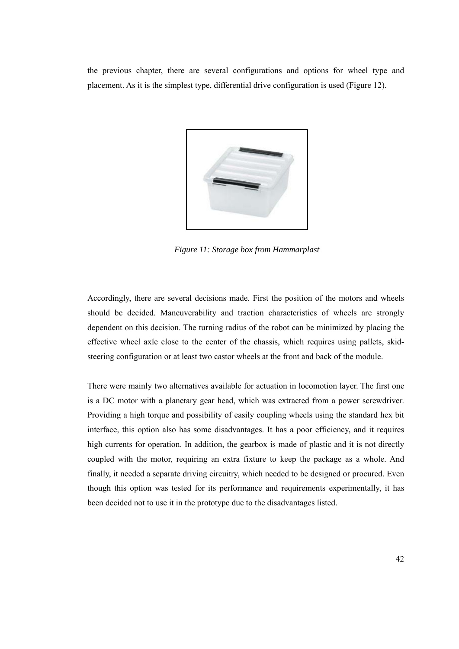the previous chapter, there are several configurations and options for wheel type and placement. As it is the simplest type, differential drive configuration is used (Figure 12).



*Figure 11: Storage box from Hammarplast* 

Accordingly, there are several decisions made. First the position of the motors and wheels should be decided. Maneuverability and traction characteristics of wheels are strongly dependent on this decision. The turning radius of the robot can be minimized by placing the effective wheel axle close to the center of the chassis, which requires using pallets, skidsteering configuration or at least two castor wheels at the front and back of the module.

There were mainly two alternatives available for actuation in locomotion layer. The first one is a DC motor with a planetary gear head, which was extracted from a power screwdriver. Providing a high torque and possibility of easily coupling wheels using the standard hex bit interface, this option also has some disadvantages. It has a poor efficiency, and it requires high currents for operation. In addition, the gearbox is made of plastic and it is not directly coupled with the motor, requiring an extra fixture to keep the package as a whole. And finally, it needed a separate driving circuitry, which needed to be designed or procured. Even though this option was tested for its performance and requirements experimentally, it has been decided not to use it in the prototype due to the disadvantages listed.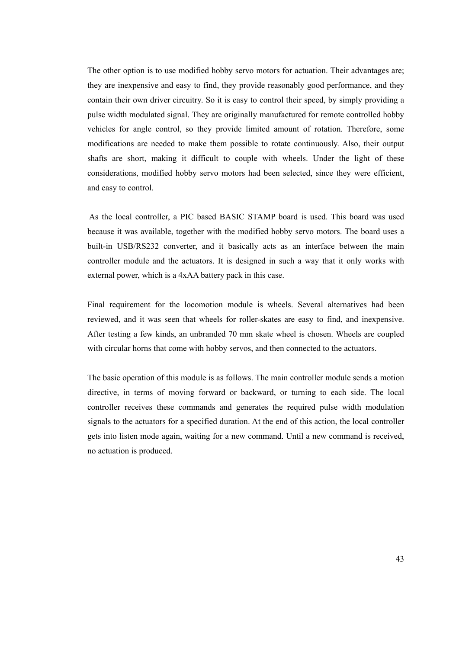The other option is to use modified hobby servo motors for actuation. Their advantages are; they are inexpensive and easy to find, they provide reasonably good performance, and they contain their own driver circuitry. So it is easy to control their speed, by simply providing a pulse width modulated signal. They are originally manufactured for remote controlled hobby vehicles for angle control, so they provide limited amount of rotation. Therefore, some modifications are needed to make them possible to rotate continuously. Also, their output shafts are short, making it difficult to couple with wheels. Under the light of these considerations, modified hobby servo motors had been selected, since they were efficient, and easy to control.

 As the local controller, a PIC based BASIC STAMP board is used. This board was used because it was available, together with the modified hobby servo motors. The board uses a built-in USB/RS232 converter, and it basically acts as an interface between the main controller module and the actuators. It is designed in such a way that it only works with external power, which is a 4xAA battery pack in this case.

Final requirement for the locomotion module is wheels. Several alternatives had been reviewed, and it was seen that wheels for roller-skates are easy to find, and inexpensive. After testing a few kinds, an unbranded 70 mm skate wheel is chosen. Wheels are coupled with circular horns that come with hobby servos, and then connected to the actuators.

The basic operation of this module is as follows. The main controller module sends a motion directive, in terms of moving forward or backward, or turning to each side. The local controller receives these commands and generates the required pulse width modulation signals to the actuators for a specified duration. At the end of this action, the local controller gets into listen mode again, waiting for a new command. Until a new command is received, no actuation is produced.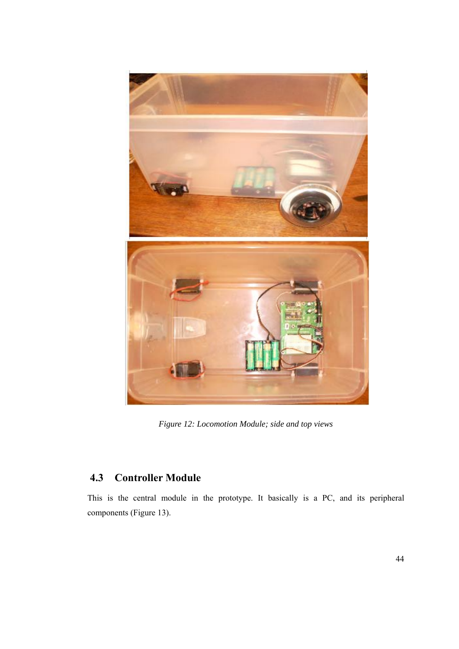

*Figure 12: Locomotion Module; side and top views* 

# **4.3 Controller Module**

This is the central module in the prototype. It basically is a PC, and its peripheral components (Figure 13).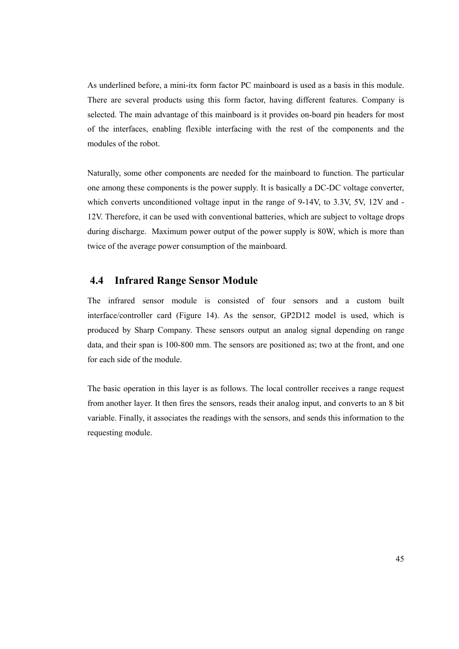As underlined before, a mini-itx form factor PC mainboard is used as a basis in this module. There are several products using this form factor, having different features. Company is selected. The main advantage of this mainboard is it provides on-board pin headers for most of the interfaces, enabling flexible interfacing with the rest of the components and the modules of the robot.

Naturally, some other components are needed for the mainboard to function. The particular one among these components is the power supply. It is basically a DC-DC voltage converter, which converts unconditioned voltage input in the range of 9-14V, to 3.3V, 5V, 12V and - 12V. Therefore, it can be used with conventional batteries, which are subject to voltage drops during discharge. Maximum power output of the power supply is 80W, which is more than twice of the average power consumption of the mainboard.

## **4.4 Infrared Range Sensor Module**

The infrared sensor module is consisted of four sensors and a custom built interface/controller card (Figure 14). As the sensor, GP2D12 model is used, which is produced by Sharp Company. These sensors output an analog signal depending on range data, and their span is 100-800 mm. The sensors are positioned as; two at the front, and one for each side of the module.

The basic operation in this layer is as follows. The local controller receives a range request from another layer. It then fires the sensors, reads their analog input, and converts to an 8 bit variable. Finally, it associates the readings with the sensors, and sends this information to the requesting module.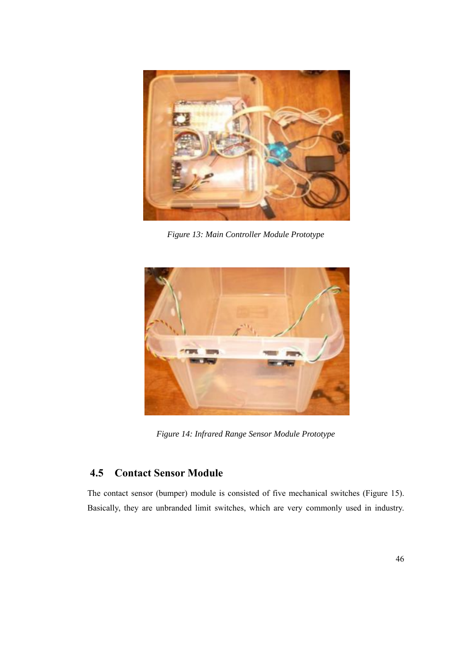

*Figure 13: Main Controller Module Prototype* 



*Figure 14: Infrared Range Sensor Module Prototype* 

# **4.5 Contact Sensor Module**

The contact sensor (bumper) module is consisted of five mechanical switches (Figure 15). Basically, they are unbranded limit switches, which are very commonly used in industry.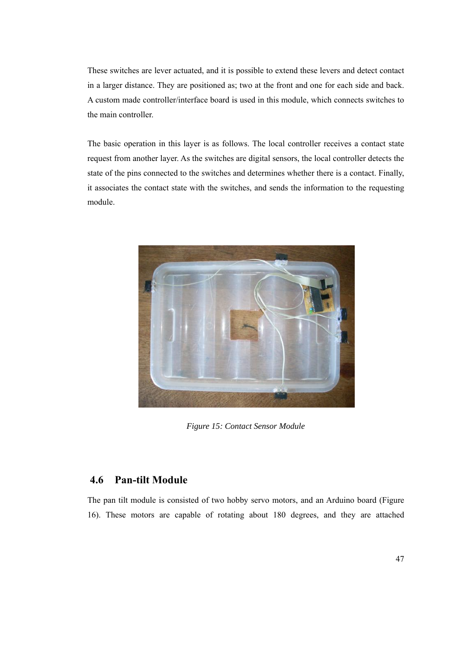These switches are lever actuated, and it is possible to extend these levers and detect contact in a larger distance. They are positioned as; two at the front and one for each side and back. A custom made controller/interface board is used in this module, which connects switches to the main controller.

The basic operation in this layer is as follows. The local controller receives a contact state request from another layer. As the switches are digital sensors, the local controller detects the state of the pins connected to the switches and determines whether there is a contact. Finally, it associates the contact state with the switches, and sends the information to the requesting module.



*Figure 15: Contact Sensor Module* 

# **4.6 Pan-tilt Module**

The pan tilt module is consisted of two hobby servo motors, and an Arduino board (Figure 16). These motors are capable of rotating about 180 degrees, and they are attached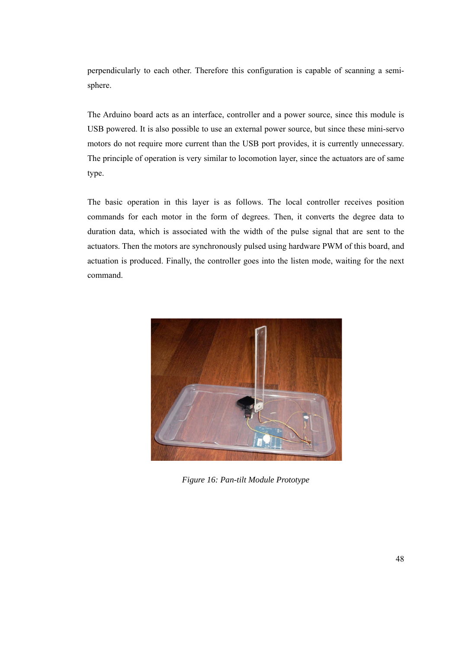perpendicularly to each other. Therefore this configuration is capable of scanning a semisphere.

The Arduino board acts as an interface, controller and a power source, since this module is USB powered. It is also possible to use an external power source, but since these mini-servo motors do not require more current than the USB port provides, it is currently unnecessary. The principle of operation is very similar to locomotion layer, since the actuators are of same type.

The basic operation in this layer is as follows. The local controller receives position commands for each motor in the form of degrees. Then, it converts the degree data to duration data, which is associated with the width of the pulse signal that are sent to the actuators. Then the motors are synchronously pulsed using hardware PWM of this board, and actuation is produced. Finally, the controller goes into the listen mode, waiting for the next command.



*Figure 16: Pan-tilt Module Prototype*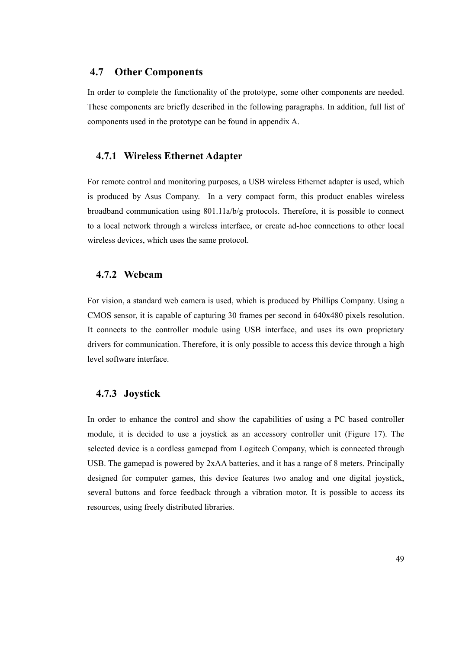## **4.7 Other Components**

In order to complete the functionality of the prototype, some other components are needed. These components are briefly described in the following paragraphs. In addition, full list of components used in the prototype can be found in appendix A.

## **4.7.1 Wireless Ethernet Adapter**

For remote control and monitoring purposes, a USB wireless Ethernet adapter is used, which is produced by Asus Company. In a very compact form, this product enables wireless broadband communication using 801.11a/b/g protocols. Therefore, it is possible to connect to a local network through a wireless interface, or create ad-hoc connections to other local wireless devices, which uses the same protocol.

## **4.7.2 Webcam**

For vision, a standard web camera is used, which is produced by Phillips Company. Using a CMOS sensor, it is capable of capturing 30 frames per second in 640x480 pixels resolution. It connects to the controller module using USB interface, and uses its own proprietary drivers for communication. Therefore, it is only possible to access this device through a high level software interface.

## **4.7.3 Joystick**

In order to enhance the control and show the capabilities of using a PC based controller module, it is decided to use a joystick as an accessory controller unit (Figure 17). The selected device is a cordless gamepad from Logitech Company, which is connected through USB. The gamepad is powered by 2xAA batteries, and it has a range of 8 meters. Principally designed for computer games, this device features two analog and one digital joystick, several buttons and force feedback through a vibration motor. It is possible to access its resources, using freely distributed libraries.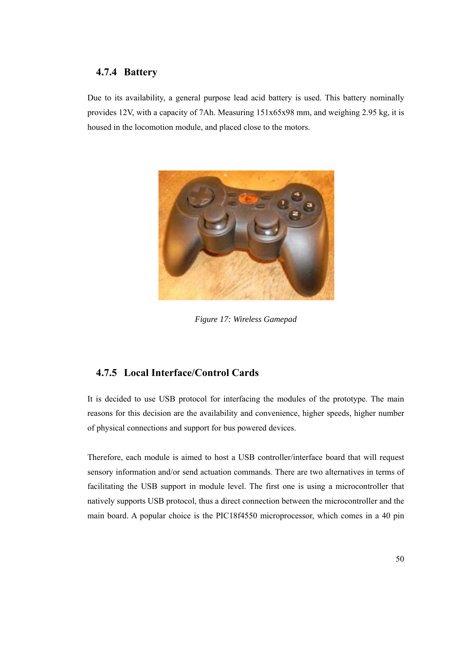## **4.7.4 Battery**

Due to its availability, a general purpose lead acid battery is used. This battery nominally provides 12V, with a capacity of 7Ah. Measuring 151x65x98 mm, and weighing 2.95 kg, it is housed in the locomotion module, and placed close to the motors.



*Figure 17: Wireless Gamepad* 

# **4.7.5 Local Interface/Control Cards**

It is decided to use USB protocol for interfacing the modules of the prototype. The main reasons for this decision are the availability and convenience, higher speeds, higher number of physical connections and support for bus powered devices.

Therefore, each module is aimed to host a USB controller/interface board that will request sensory information and/or send actuation commands. There are two alternatives in terms of facilitating the USB support in module level. The first one is using a microcontroller that natively supports USB protocol, thus a direct connection between the microcontroller and the main board. A popular choice is the PIC18f4550 microprocessor, which comes in a 40 pin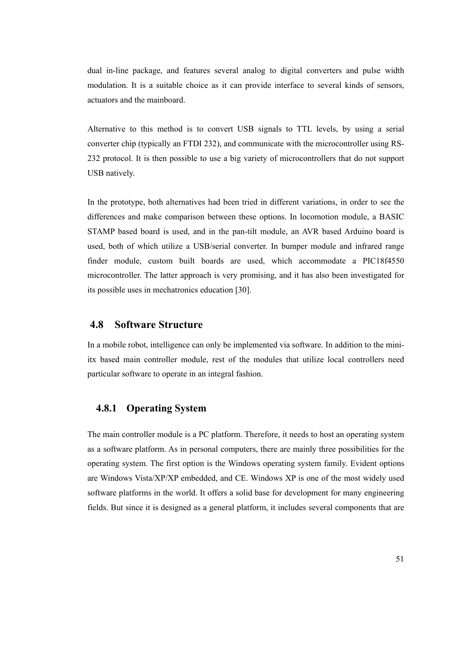dual in-line package, and features several analog to digital converters and pulse width modulation. It is a suitable choice as it can provide interface to several kinds of sensors, actuators and the mainboard.

Alternative to this method is to convert USB signals to TTL levels, by using a serial converter chip (typically an FTDI 232), and communicate with the microcontroller using RS-232 protocol. It is then possible to use a big variety of microcontrollers that do not support USB natively.

In the prototype, both alternatives had been tried in different variations, in order to see the differences and make comparison between these options. In locomotion module, a BASIC STAMP based board is used, and in the pan-tilt module, an AVR based Arduino board is used, both of which utilize a USB/serial converter. In bumper module and infrared range finder module, custom built boards are used, which accommodate a PIC18f4550 microcontroller. The latter approach is very promising, and it has also been investigated for its possible uses in mechatronics education [30].

## **4.8 Software Structure**

In a mobile robot, intelligence can only be implemented via software. In addition to the miniitx based main controller module, rest of the modules that utilize local controllers need particular software to operate in an integral fashion.

## **4.8.1 Operating System**

The main controller module is a PC platform. Therefore, it needs to host an operating system as a software platform. As in personal computers, there are mainly three possibilities for the operating system. The first option is the Windows operating system family. Evident options are Windows Vista/XP/XP embedded, and CE. Windows XP is one of the most widely used software platforms in the world. It offers a solid base for development for many engineering fields. But since it is designed as a general platform, it includes several components that are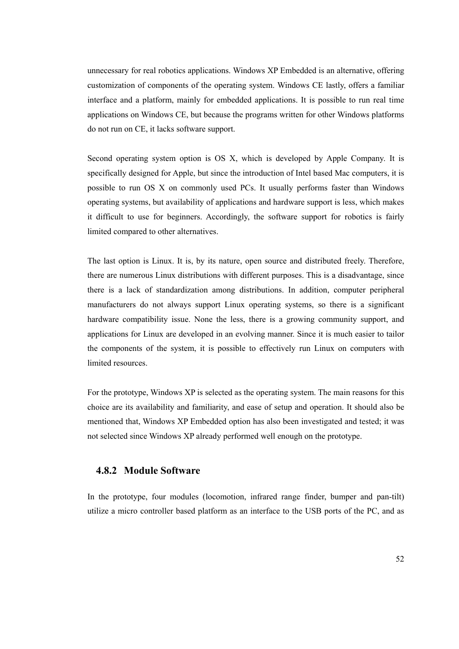unnecessary for real robotics applications. Windows XP Embedded is an alternative, offering customization of components of the operating system. Windows CE lastly, offers a familiar interface and a platform, mainly for embedded applications. It is possible to run real time applications on Windows CE, but because the programs written for other Windows platforms do not run on CE, it lacks software support.

Second operating system option is OS X, which is developed by Apple Company. It is specifically designed for Apple, but since the introduction of Intel based Mac computers, it is possible to run OS X on commonly used PCs. It usually performs faster than Windows operating systems, but availability of applications and hardware support is less, which makes it difficult to use for beginners. Accordingly, the software support for robotics is fairly limited compared to other alternatives.

The last option is Linux. It is, by its nature, open source and distributed freely. Therefore, there are numerous Linux distributions with different purposes. This is a disadvantage, since there is a lack of standardization among distributions. In addition, computer peripheral manufacturers do not always support Linux operating systems, so there is a significant hardware compatibility issue. None the less, there is a growing community support, and applications for Linux are developed in an evolving manner. Since it is much easier to tailor the components of the system, it is possible to effectively run Linux on computers with limited resources.

For the prototype, Windows XP is selected as the operating system. The main reasons for this choice are its availability and familiarity, and ease of setup and operation. It should also be mentioned that, Windows XP Embedded option has also been investigated and tested; it was not selected since Windows XP already performed well enough on the prototype.

## **4.8.2 Module Software**

In the prototype, four modules (locomotion, infrared range finder, bumper and pan-tilt) utilize a micro controller based platform as an interface to the USB ports of the PC, and as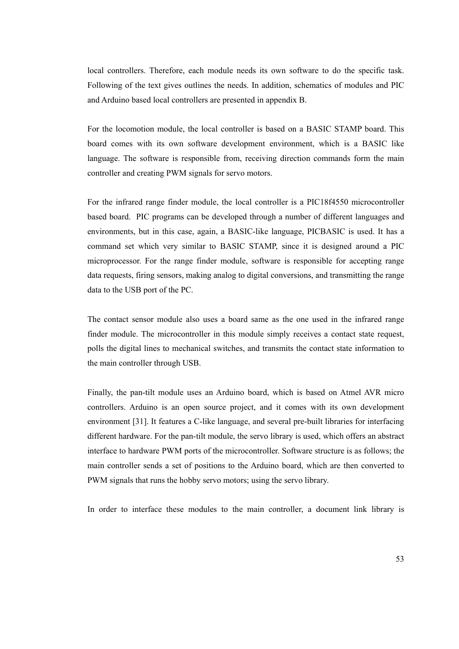local controllers. Therefore, each module needs its own software to do the specific task. Following of the text gives outlines the needs. In addition, schematics of modules and PIC and Arduino based local controllers are presented in appendix B.

For the locomotion module, the local controller is based on a BASIC STAMP board. This board comes with its own software development environment, which is a BASIC like language. The software is responsible from, receiving direction commands form the main controller and creating PWM signals for servo motors.

For the infrared range finder module, the local controller is a PIC18f4550 microcontroller based board. PIC programs can be developed through a number of different languages and environments, but in this case, again, a BASIC-like language, PICBASIC is used. It has a command set which very similar to BASIC STAMP, since it is designed around a PIC microprocessor. For the range finder module, software is responsible for accepting range data requests, firing sensors, making analog to digital conversions, and transmitting the range data to the USB port of the PC.

The contact sensor module also uses a board same as the one used in the infrared range finder module. The microcontroller in this module simply receives a contact state request, polls the digital lines to mechanical switches, and transmits the contact state information to the main controller through USB.

Finally, the pan-tilt module uses an Arduino board, which is based on Atmel AVR micro controllers. Arduino is an open source project, and it comes with its own development environment [31]. It features a C-like language, and several pre-built libraries for interfacing different hardware. For the pan-tilt module, the servo library is used, which offers an abstract interface to hardware PWM ports of the microcontroller. Software structure is as follows; the main controller sends a set of positions to the Arduino board, which are then converted to PWM signals that runs the hobby servo motors; using the servo library.

In order to interface these modules to the main controller, a document link library is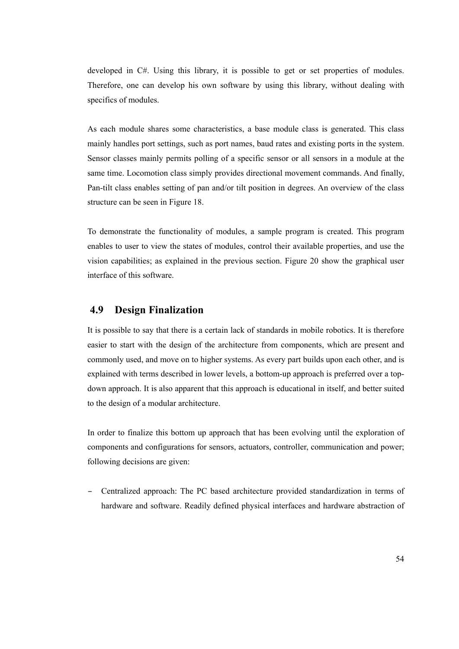developed in  $C#$ . Using this library, it is possible to get or set properties of modules. Therefore, one can develop his own software by using this library, without dealing with specifics of modules.

As each module shares some characteristics, a base module class is generated. This class mainly handles port settings, such as port names, baud rates and existing ports in the system. Sensor classes mainly permits polling of a specific sensor or all sensors in a module at the same time. Locomotion class simply provides directional movement commands. And finally, Pan-tilt class enables setting of pan and/or tilt position in degrees. An overview of the class structure can be seen in Figure 18.

To demonstrate the functionality of modules, a sample program is created. This program enables to user to view the states of modules, control their available properties, and use the vision capabilities; as explained in the previous section. Figure 20 show the graphical user interface of this software.

# **4.9 Design Finalization**

It is possible to say that there is a certain lack of standards in mobile robotics. It is therefore easier to start with the design of the architecture from components, which are present and commonly used, and move on to higher systems. As every part builds upon each other, and is explained with terms described in lower levels, a bottom-up approach is preferred over a topdown approach. It is also apparent that this approach is educational in itself, and better suited to the design of a modular architecture.

In order to finalize this bottom up approach that has been evolving until the exploration of components and configurations for sensors, actuators, controller, communication and power; following decisions are given:

– Centralized approach: The PC based architecture provided standardization in terms of hardware and software. Readily defined physical interfaces and hardware abstraction of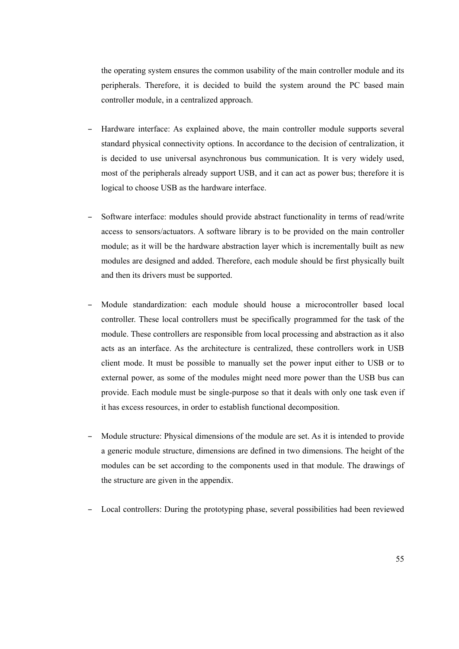the operating system ensures the common usability of the main controller module and its peripherals. Therefore, it is decided to build the system around the PC based main controller module, in a centralized approach.

- Hardware interface: As explained above, the main controller module supports several standard physical connectivity options. In accordance to the decision of centralization, it is decided to use universal asynchronous bus communication. It is very widely used, most of the peripherals already support USB, and it can act as power bus; therefore it is logical to choose USB as the hardware interface.
- Software interface: modules should provide abstract functionality in terms of read/write access to sensors/actuators. A software library is to be provided on the main controller module; as it will be the hardware abstraction layer which is incrementally built as new modules are designed and added. Therefore, each module should be first physically built and then its drivers must be supported.
- Module standardization: each module should house a microcontroller based local controller. These local controllers must be specifically programmed for the task of the module. These controllers are responsible from local processing and abstraction as it also acts as an interface. As the architecture is centralized, these controllers work in USB client mode. It must be possible to manually set the power input either to USB or to external power, as some of the modules might need more power than the USB bus can provide. Each module must be single-purpose so that it deals with only one task even if it has excess resources, in order to establish functional decomposition.
- Module structure: Physical dimensions of the module are set. As it is intended to provide a generic module structure, dimensions are defined in two dimensions. The height of the modules can be set according to the components used in that module. The drawings of the structure are given in the appendix.
- Local controllers: During the prototyping phase, several possibilities had been reviewed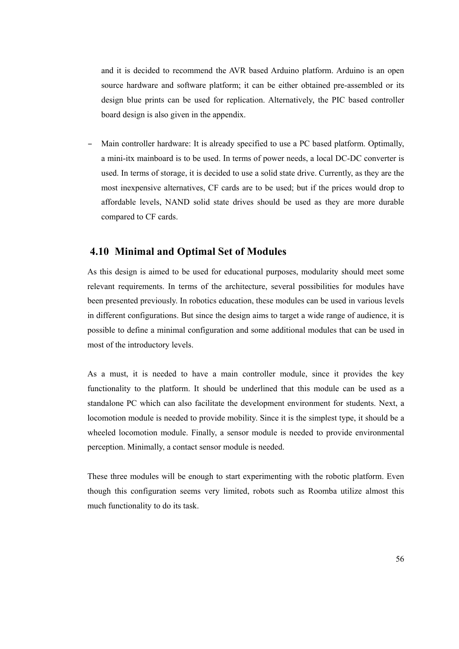and it is decided to recommend the AVR based Arduino platform. Arduino is an open source hardware and software platform; it can be either obtained pre-assembled or its design blue prints can be used for replication. Alternatively, the PIC based controller board design is also given in the appendix.

– Main controller hardware: It is already specified to use a PC based platform. Optimally, a mini-itx mainboard is to be used. In terms of power needs, a local DC-DC converter is used. In terms of storage, it is decided to use a solid state drive. Currently, as they are the most inexpensive alternatives, CF cards are to be used; but if the prices would drop to affordable levels, NAND solid state drives should be used as they are more durable compared to CF cards.

## **4.10 Minimal and Optimal Set of Modules**

As this design is aimed to be used for educational purposes, modularity should meet some relevant requirements. In terms of the architecture, several possibilities for modules have been presented previously. In robotics education, these modules can be used in various levels in different configurations. But since the design aims to target a wide range of audience, it is possible to define a minimal configuration and some additional modules that can be used in most of the introductory levels.

As a must, it is needed to have a main controller module, since it provides the key functionality to the platform. It should be underlined that this module can be used as a standalone PC which can also facilitate the development environment for students. Next, a locomotion module is needed to provide mobility. Since it is the simplest type, it should be a wheeled locomotion module. Finally, a sensor module is needed to provide environmental perception. Minimally, a contact sensor module is needed.

These three modules will be enough to start experimenting with the robotic platform. Even though this configuration seems very limited, robots such as Roomba utilize almost this much functionality to do its task.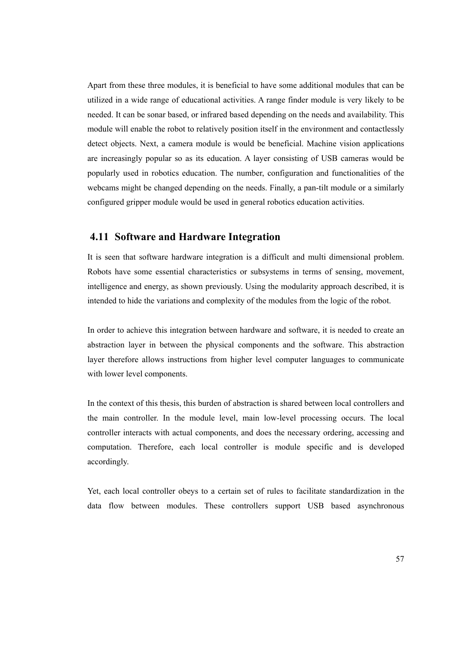Apart from these three modules, it is beneficial to have some additional modules that can be utilized in a wide range of educational activities. A range finder module is very likely to be needed. It can be sonar based, or infrared based depending on the needs and availability. This module will enable the robot to relatively position itself in the environment and contactlessly detect objects. Next, a camera module is would be beneficial. Machine vision applications are increasingly popular so as its education. A layer consisting of USB cameras would be popularly used in robotics education. The number, configuration and functionalities of the webcams might be changed depending on the needs. Finally, a pan-tilt module or a similarly configured gripper module would be used in general robotics education activities.

## **4.11 Software and Hardware Integration**

It is seen that software hardware integration is a difficult and multi dimensional problem. Robots have some essential characteristics or subsystems in terms of sensing, movement, intelligence and energy, as shown previously. Using the modularity approach described, it is intended to hide the variations and complexity of the modules from the logic of the robot.

In order to achieve this integration between hardware and software, it is needed to create an abstraction layer in between the physical components and the software. This abstraction layer therefore allows instructions from higher level computer languages to communicate with lower level components.

In the context of this thesis, this burden of abstraction is shared between local controllers and the main controller. In the module level, main low-level processing occurs. The local controller interacts with actual components, and does the necessary ordering, accessing and computation. Therefore, each local controller is module specific and is developed accordingly.

Yet, each local controller obeys to a certain set of rules to facilitate standardization in the data flow between modules. These controllers support USB based asynchronous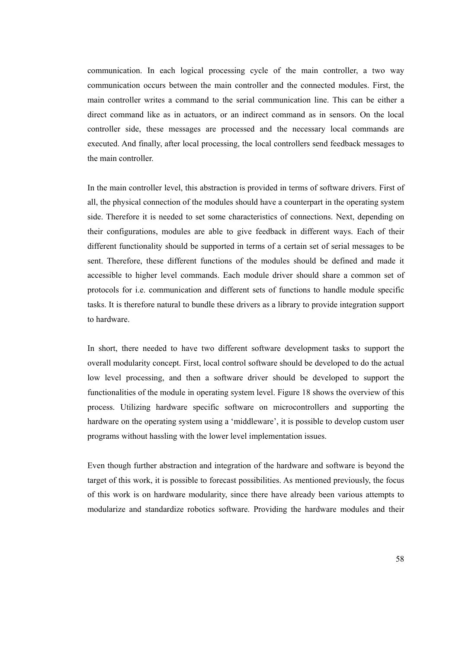communication. In each logical processing cycle of the main controller, a two way communication occurs between the main controller and the connected modules. First, the main controller writes a command to the serial communication line. This can be either a direct command like as in actuators, or an indirect command as in sensors. On the local controller side, these messages are processed and the necessary local commands are executed. And finally, after local processing, the local controllers send feedback messages to the main controller.

In the main controller level, this abstraction is provided in terms of software drivers. First of all, the physical connection of the modules should have a counterpart in the operating system side. Therefore it is needed to set some characteristics of connections. Next, depending on their configurations, modules are able to give feedback in different ways. Each of their different functionality should be supported in terms of a certain set of serial messages to be sent. Therefore, these different functions of the modules should be defined and made it accessible to higher level commands. Each module driver should share a common set of protocols for i.e. communication and different sets of functions to handle module specific tasks. It is therefore natural to bundle these drivers as a library to provide integration support to hardware.

In short, there needed to have two different software development tasks to support the overall modularity concept. First, local control software should be developed to do the actual low level processing, and then a software driver should be developed to support the functionalities of the module in operating system level. Figure 18 shows the overview of this process. Utilizing hardware specific software on microcontrollers and supporting the hardware on the operating system using a 'middleware', it is possible to develop custom user programs without hassling with the lower level implementation issues.

Even though further abstraction and integration of the hardware and software is beyond the target of this work, it is possible to forecast possibilities. As mentioned previously, the focus of this work is on hardware modularity, since there have already been various attempts to modularize and standardize robotics software. Providing the hardware modules and their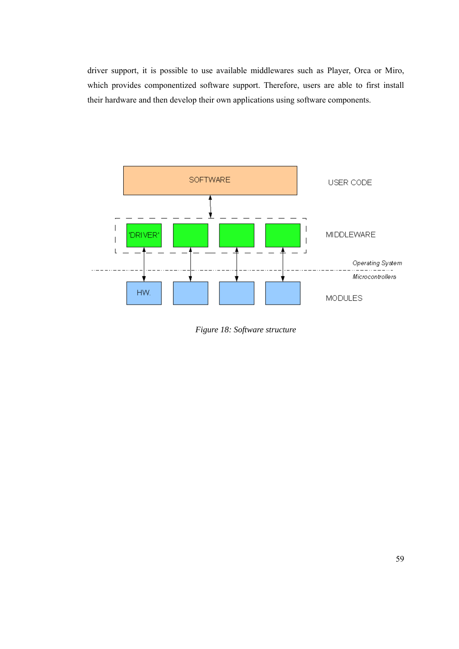driver support, it is possible to use available middlewares such as Player, Orca or Miro, which provides componentized software support. Therefore, users are able to first install their hardware and then develop their own applications using software components.



*Figure 18: Software structure*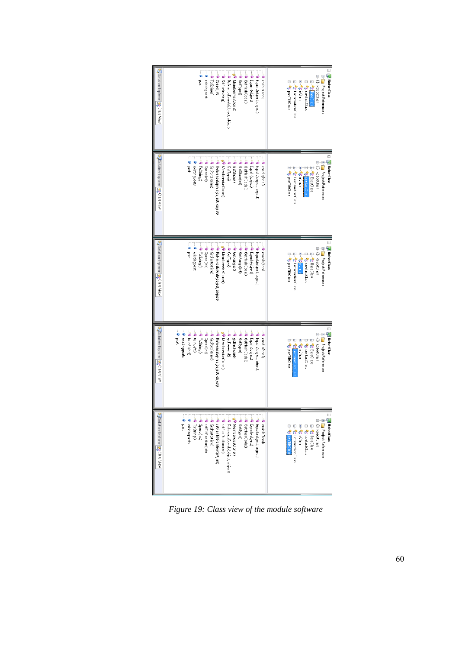| QSLtt on Explorer   22 Class View               | <sup>=©</sup> Equals(object)<br>Wemberwis:Clone<br>BeterenceEcuals(object, object)<br>● Equal;(object, opject)<br>š<br>existingocrts<br>TaString 0<br>GetType()<br>Speedint,<br>SetPort(string)<br>Get-lashCode <sup>2</sup><br>enabl±(bool)                                                                                                                                                                                                                                                                                                                                                                                                                                   | ⊟ <b>Foll RobotClass</b><br>ia-{} RobotClass<br><b>A-Constructure</b><br>B-4 panTilClass<br>in-^な Lo:omotionClass<br>die reservations<br><b>E-10 BaseOlas</b><br>E-Sanclass                 |
|-------------------------------------------------|--------------------------------------------------------------------------------------------------------------------------------------------------------------------------------------------------------------------------------------------------------------------------------------------------------------------------------------------------------------------------------------------------------------------------------------------------------------------------------------------------------------------------------------------------------------------------------------------------------------------------------------------------------------------------------|---------------------------------------------------------------------------------------------------------------------------------------------------------------------------------------------|
| 다 Sclution Exp orer (포) Class View              | Figures (coject, object)<br>e Equals(opiec)<br>wendle(bool)<br>solst nigports<br>etSate:0<br>SerPort/string)<br><b>PREFERENCE GUAS (Object, cbject)</b><br>MemberwiseCloner<br>1<br>edHashCodeC<br>aetype)<br><b>GetStateint</b><br>Centrice 1<br>Speed (int)                                                                                                                                                                                                                                                                                                                                                                                                                  | ⊟ <b>og RabotClass</b><br>E-{} FobotClass<br><b>E-B</b> Fraject References<br>a- ConTiltClass<br>ii → 【 Locomotior C a:s<br>ii *** contactClis<br>is and is a                               |
| 2 Solut on Explorer 23 Class View               | BedienneEcuals(object, object)<br><sup>=●</sup> Equals(object, object)<br><sup>■</sup> Get+ishCode<br>Beuslis(object)<br>SetPortstring)<br>≡ GetType0<br>Wemberwiss Clone<br><sup>■</sup> GetRanges0<br>· existingocity<br><b>OetRange</b> (irt)<br>dood) : dens<br>Speec(int)<br>Opmixel <sup>4</sup><br>$rac{1}{2}$                                                                                                                                                                                                                                                                                                                                                          | ⊟ GB RobotClass<br>la→{} Robaclass<br><b>D-D</b> Project References<br>B-42 panTiltClass<br>iii- *rs Lo:ornotionClass<br>ili-"00 contactClass<br>in 12 Base Dass<br><b>Politicia</b>        |
| 다 Sclution Exp orer   조망 Class View             | and out<br>eo tunRightQ<br>annule±0<br>- AdreenceEquas(object.cbject)<br><sup>=●</sup> GetHashCodeC<br>WhemberwiseClonet<br>· SerPortstring)<br>· Equals(opject, object)<br>cost ngports<br>Equals(opject)<br>ToString <sup>2</sup><br>GetType)<br>goBackward0<br>Speed(int)<br>goForwardQ<br>enable(bool)                                                                                                                                                                                                                                                                                                                                                                     | ⊟ <mark>@</mark> RabotClass<br>È-{} FobotClass<br><b>E-E</b> Frcject Reference:<br>in<br>19 Pass Class<br>a-42 panTitClass<br>$\frac{1}{2}$<br><b>in 12</b> contact⊃lass<br>                |
| <b>Q</b> Solution Explorer <b>EQ</b> Class View | $\begin{tabular}{ll} $\mathcal{P}$ & A function of the \\ $\mathcal{P}$ & $\mathcal{P}$ & $\mathcal{P}$ & $\mathcal{P}$ & $\mathcal{P}$ & $\mathcal{P}$ & $\mathcal{P}$ & $\mathcal{P}$ & $\mathcal{P}$ & $\mathcal{P}$ & $\mathcal{P}$ & $\mathcal{P}$ & $\mathcal{P}$ & $\mathcal{P}$ & $\mathcal{P}$ & $\mathcal{P}$ & $\mathcal{P}$ & $\mathcal{P}$ & $\mathcal{P}$ & $\mathcal{P}$ & $\mathcal{P}$ & $\mathcal{P}$ & $\mathcal{P}$ & $\mathcal{P}$ & $\mathcal{P}$ & $\mathcal{P}$ & $\mathcal{P}$ & $\mathcal{P}$ & $\mathcal{$<br>- <b>-0</b> Equals(object, opjec)<br>-- <b>0</b> Equals(object)<br>--0 Get-lashCode)<br>senabli(boot)<br>e esitingacrb<br>esitingacrb | ∃ - 图 RobotClass<br>自 {} RobotClass<br><b>B-B</b> Project References<br>in <sup>a</sup> nd BaseClass<br>in to contact class<br>i- <sup>4</sup> t LocomotionClass<br>RivClass<br>panTiltClas |

*Figure 19: Class view of the module software*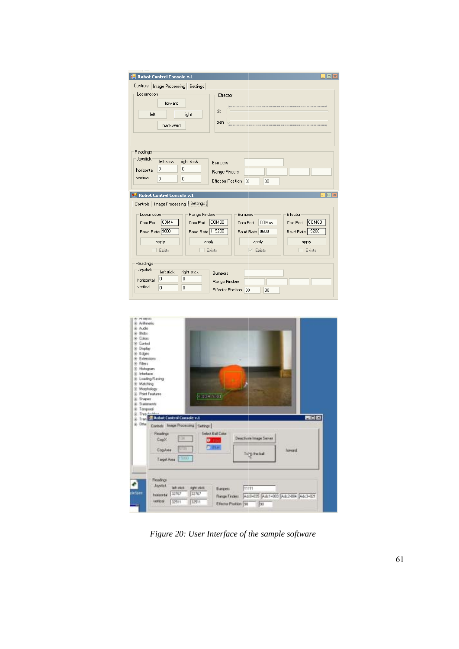| 醖<br><b>Robot Control Console v.1</b><br>ollx                                                                                                                                                                                                                                                                                                                        |
|----------------------------------------------------------------------------------------------------------------------------------------------------------------------------------------------------------------------------------------------------------------------------------------------------------------------------------------------------------------------|
| Controls<br>Image Processing Settings<br>Locomotion<br>Effector<br>forward<br>tilt<br>left<br>right<br>pan<br>backward                                                                                                                                                                                                                                               |
| Readings<br>Joystick<br>left stick<br>right stick<br>Bumpers<br>0<br>0<br>horizontal<br>Range Finders<br>vertical<br>$\overline{0}$<br>$\Omega$<br>Effector Position<br>90<br>90<br>$\Box$ olx<br><b>Reduction</b> Control Console v.1                                                                                                                               |
| Controls   Image Processing   Settings  <br>Effector<br>Locomotion<br>Range Finders<br>Bumpers<br>COM4<br>COM30<br>COM80<br>COM <sub>xx</sub><br>Com Port<br>Com Port<br>Com Port<br>Com Port<br>Baud Rate  9600<br>Baud Rate 115200<br>Baud Rate 19200<br>Baud Rate 9600<br>apply<br>apply<br>apply<br>apply<br>Exists<br>Exists<br>$\boxed{\vee}$ Exists<br>Exists |
| Readings<br>Joystick<br>left stick<br>right stick<br>Bumpers<br>0<br>0<br>horizontal<br>Range Finders<br>vertical<br>$\overline{0}$<br>0<br><b>Effector Position</b><br>90<br>90                                                                                                                                                                                     |



*Figure 20: User Interface of the sample software*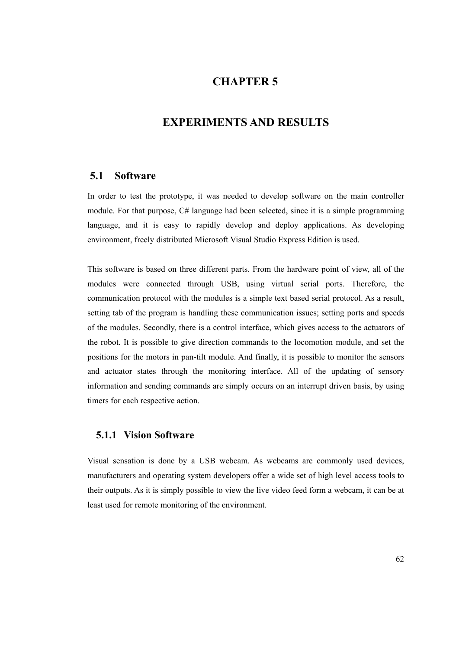## **CHAPTER 5**

### **EXPERIMENTS AND RESULTS**

#### **5.1 Software**

In order to test the prototype, it was needed to develop software on the main controller module. For that purpose, C# language had been selected, since it is a simple programming language, and it is easy to rapidly develop and deploy applications. As developing environment, freely distributed Microsoft Visual Studio Express Edition is used.

This software is based on three different parts. From the hardware point of view, all of the modules were connected through USB, using virtual serial ports. Therefore, the communication protocol with the modules is a simple text based serial protocol. As a result, setting tab of the program is handling these communication issues; setting ports and speeds of the modules. Secondly, there is a control interface, which gives access to the actuators of the robot. It is possible to give direction commands to the locomotion module, and set the positions for the motors in pan-tilt module. And finally, it is possible to monitor the sensors and actuator states through the monitoring interface. All of the updating of sensory information and sending commands are simply occurs on an interrupt driven basis, by using timers for each respective action.

#### **5.1.1 Vision Software**

Visual sensation is done by a USB webcam. As webcams are commonly used devices, manufacturers and operating system developers offer a wide set of high level access tools to their outputs. As it is simply possible to view the live video feed form a webcam, it can be at least used for remote monitoring of the environment.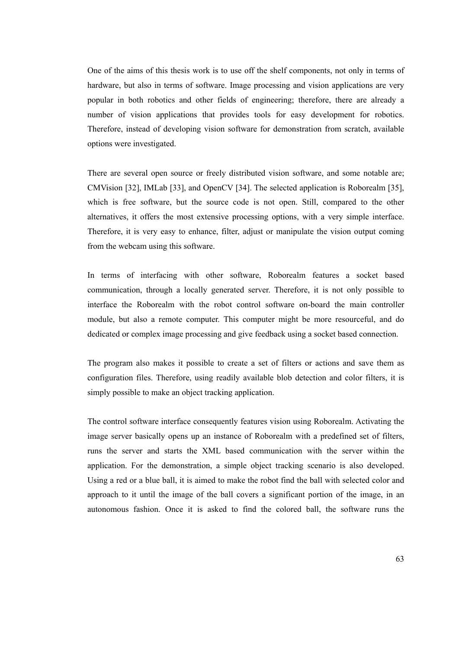One of the aims of this thesis work is to use off the shelf components, not only in terms of hardware, but also in terms of software. Image processing and vision applications are very popular in both robotics and other fields of engineering; therefore, there are already a number of vision applications that provides tools for easy development for robotics. Therefore, instead of developing vision software for demonstration from scratch, available options were investigated.

There are several open source or freely distributed vision software, and some notable are; CMVision [32], IMLab [33], and OpenCV [34]. The selected application is Roborealm [35], which is free software, but the source code is not open. Still, compared to the other alternatives, it offers the most extensive processing options, with a very simple interface. Therefore, it is very easy to enhance, filter, adjust or manipulate the vision output coming from the webcam using this software.

In terms of interfacing with other software, Roborealm features a socket based communication, through a locally generated server. Therefore, it is not only possible to interface the Roborealm with the robot control software on-board the main controller module, but also a remote computer. This computer might be more resourceful, and do dedicated or complex image processing and give feedback using a socket based connection.

The program also makes it possible to create a set of filters or actions and save them as configuration files. Therefore, using readily available blob detection and color filters, it is simply possible to make an object tracking application.

The control software interface consequently features vision using Roborealm. Activating the image server basically opens up an instance of Roborealm with a predefined set of filters, runs the server and starts the XML based communication with the server within the application. For the demonstration, a simple object tracking scenario is also developed. Using a red or a blue ball, it is aimed to make the robot find the ball with selected color and approach to it until the image of the ball covers a significant portion of the image, in an autonomous fashion. Once it is asked to find the colored ball, the software runs the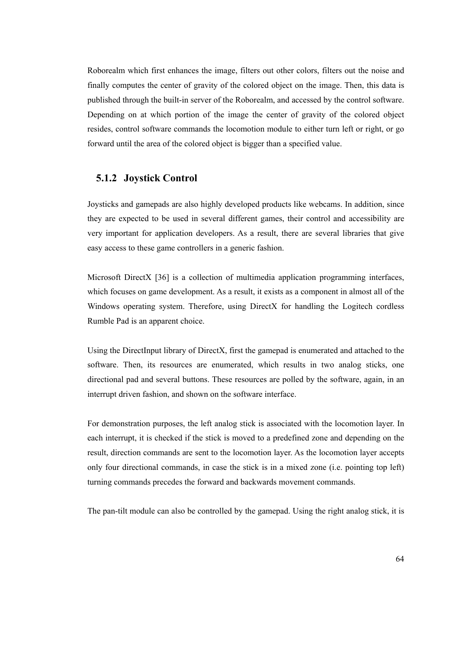Roborealm which first enhances the image, filters out other colors, filters out the noise and finally computes the center of gravity of the colored object on the image. Then, this data is published through the built-in server of the Roborealm, and accessed by the control software. Depending on at which portion of the image the center of gravity of the colored object resides, control software commands the locomotion module to either turn left or right, or go forward until the area of the colored object is bigger than a specified value.

#### **5.1.2 Joystick Control**

Joysticks and gamepads are also highly developed products like webcams. In addition, since they are expected to be used in several different games, their control and accessibility are very important for application developers. As a result, there are several libraries that give easy access to these game controllers in a generic fashion.

Microsoft DirectX [36] is a collection of multimedia application programming interfaces, which focuses on game development. As a result, it exists as a component in almost all of the Windows operating system. Therefore, using DirectX for handling the Logitech cordless Rumble Pad is an apparent choice.

Using the DirectInput library of DirectX, first the gamepad is enumerated and attached to the software. Then, its resources are enumerated, which results in two analog sticks, one directional pad and several buttons. These resources are polled by the software, again, in an interrupt driven fashion, and shown on the software interface.

For demonstration purposes, the left analog stick is associated with the locomotion layer. In each interrupt, it is checked if the stick is moved to a predefined zone and depending on the result, direction commands are sent to the locomotion layer. As the locomotion layer accepts only four directional commands, in case the stick is in a mixed zone (i.e. pointing top left) turning commands precedes the forward and backwards movement commands.

The pan-tilt module can also be controlled by the gamepad. Using the right analog stick, it is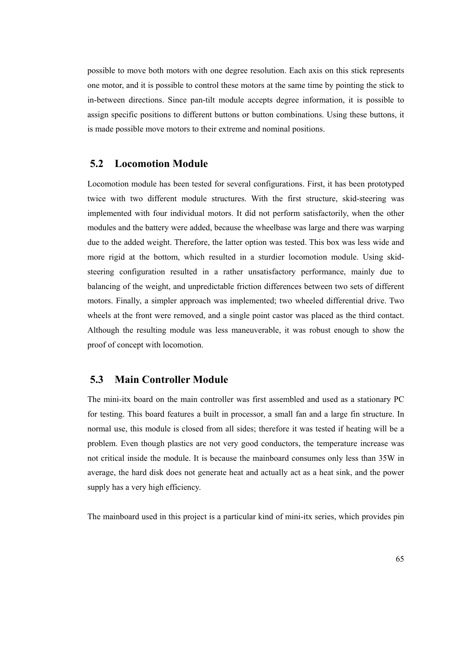possible to move both motors with one degree resolution. Each axis on this stick represents one motor, and it is possible to control these motors at the same time by pointing the stick to in-between directions. Since pan-tilt module accepts degree information, it is possible to assign specific positions to different buttons or button combinations. Using these buttons, it is made possible move motors to their extreme and nominal positions.

#### **5.2 Locomotion Module**

Locomotion module has been tested for several configurations. First, it has been prototyped twice with two different module structures. With the first structure, skid-steering was implemented with four individual motors. It did not perform satisfactorily, when the other modules and the battery were added, because the wheelbase was large and there was warping due to the added weight. Therefore, the latter option was tested. This box was less wide and more rigid at the bottom, which resulted in a sturdier locomotion module. Using skidsteering configuration resulted in a rather unsatisfactory performance, mainly due to balancing of the weight, and unpredictable friction differences between two sets of different motors. Finally, a simpler approach was implemented; two wheeled differential drive. Two wheels at the front were removed, and a single point castor was placed as the third contact. Although the resulting module was less maneuverable, it was robust enough to show the proof of concept with locomotion.

#### **5.3 Main Controller Module**

The mini-itx board on the main controller was first assembled and used as a stationary PC for testing. This board features a built in processor, a small fan and a large fin structure. In normal use, this module is closed from all sides; therefore it was tested if heating will be a problem. Even though plastics are not very good conductors, the temperature increase was not critical inside the module. It is because the mainboard consumes only less than 35W in average, the hard disk does not generate heat and actually act as a heat sink, and the power supply has a very high efficiency.

The mainboard used in this project is a particular kind of mini-itx series, which provides pin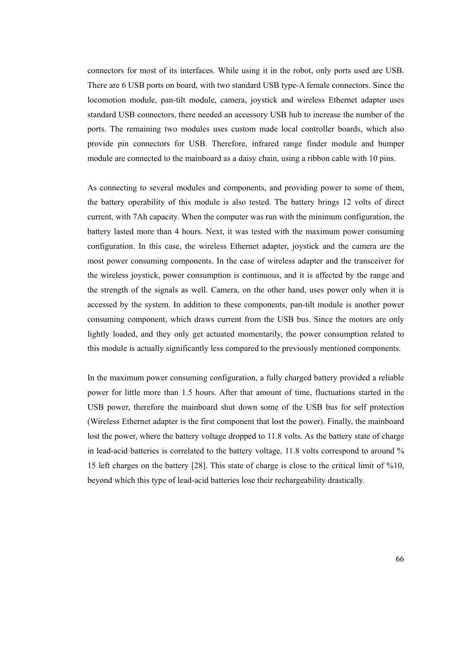connectors for most of its interfaces. While using it in the robot, only ports used are USB. There are 6 USB ports on board, with two standard USB type-A female connectors. Since the locomotion module, pan-tilt module, camera, joystick and wireless Ethernet adapter uses standard USB connectors, there needed an accessory USB hub to increase the number of the ports. The remaining two modules uses custom made local controller boards, which also provide pin connectors for USB. Therefore, infrared range finder module and bumper module are connected to the mainboard as a daisy chain, using a ribbon cable with 10 pins.

As connecting to several modules and components, and providing power to some of them, the battery operability of this module is also tested. The battery brings 12 volts of direct current, with 7Ah capacity. When the computer was run with the minimum configuration, the battery lasted more than 4 hours. Next, it was tested with the maximum power consuming configuration. In this case, the wireless Ethernet adapter, joystick and the camera are the most power consuming components. In the case of wireless adapter and the transceiver for the wireless joystick, power consumption is continuous, and it is affected by the range and the strength of the signals as well. Camera, on the other hand, uses power only when it is accessed by the system. In addition to these components, pan-tilt module is another power consuming component, which draws current from the USB bus. Since the motors are only lightly loaded, and they only get actuated momentarily, the power consumption related to this module is actually significantly less compared to the previously mentioned components.

In the maximum power consuming configuration, a fully charged battery provided a reliable power for little more than 1.5 hours. After that amount of time, fluctuations started in the USB power, therefore the mainboard shut down some of the USB bus for self protection (Wireless Ethernet adapter is the first component that lost the power). Finally, the mainboard lost the power, where the battery voltage dropped to 11.8 volts. As the battery state of charge in lead-acid batteries is correlated to the battery voltage, 11.8 volts correspond to around % 15 left charges on the battery [28]. This state of charge is close to the critical limit of %10, beyond which this type of lead-acid batteries lose their rechargeability drastically.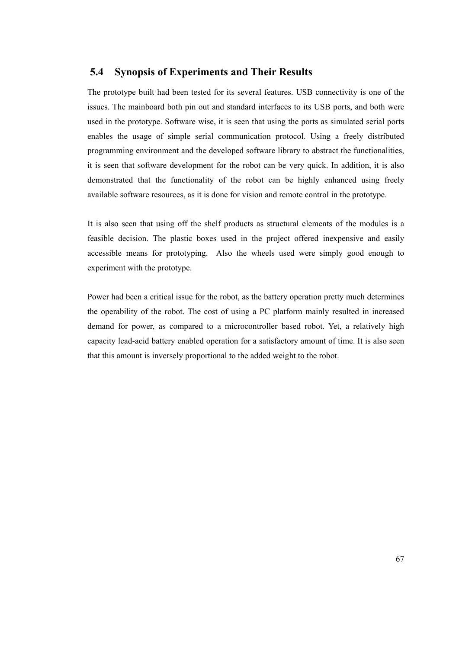#### **5.4 Synopsis of Experiments and Their Results**

The prototype built had been tested for its several features. USB connectivity is one of the issues. The mainboard both pin out and standard interfaces to its USB ports, and both were used in the prototype. Software wise, it is seen that using the ports as simulated serial ports enables the usage of simple serial communication protocol. Using a freely distributed programming environment and the developed software library to abstract the functionalities, it is seen that software development for the robot can be very quick. In addition, it is also demonstrated that the functionality of the robot can be highly enhanced using freely available software resources, as it is done for vision and remote control in the prototype.

It is also seen that using off the shelf products as structural elements of the modules is a feasible decision. The plastic boxes used in the project offered inexpensive and easily accessible means for prototyping. Also the wheels used were simply good enough to experiment with the prototype.

Power had been a critical issue for the robot, as the battery operation pretty much determines the operability of the robot. The cost of using a PC platform mainly resulted in increased demand for power, as compared to a microcontroller based robot. Yet, a relatively high capacity lead-acid battery enabled operation for a satisfactory amount of time. It is also seen that this amount is inversely proportional to the added weight to the robot.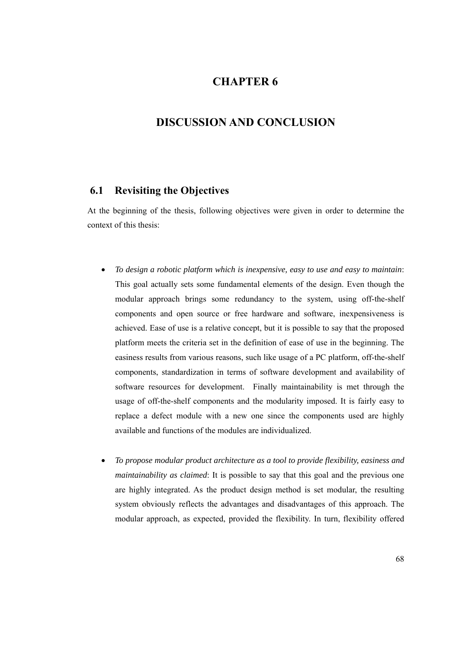## **CHAPTER 6**

### **DISCUSSION AND CONCLUSION**

### **6.1 Revisiting the Objectives**

At the beginning of the thesis, following objectives were given in order to determine the context of this thesis:

- *To design a robotic platform which is inexpensive, easy to use and easy to maintain*: This goal actually sets some fundamental elements of the design. Even though the modular approach brings some redundancy to the system, using off-the-shelf components and open source or free hardware and software, inexpensiveness is achieved. Ease of use is a relative concept, but it is possible to say that the proposed platform meets the criteria set in the definition of ease of use in the beginning. The easiness results from various reasons, such like usage of a PC platform, off-the-shelf components, standardization in terms of software development and availability of software resources for development. Finally maintainability is met through the usage of off-the-shelf components and the modularity imposed. It is fairly easy to replace a defect module with a new one since the components used are highly available and functions of the modules are individualized.
- *To propose modular product architecture as a tool to provide flexibility, easiness and maintainability as claimed*: It is possible to say that this goal and the previous one are highly integrated. As the product design method is set modular, the resulting system obviously reflects the advantages and disadvantages of this approach. The modular approach, as expected, provided the flexibility. In turn, flexibility offered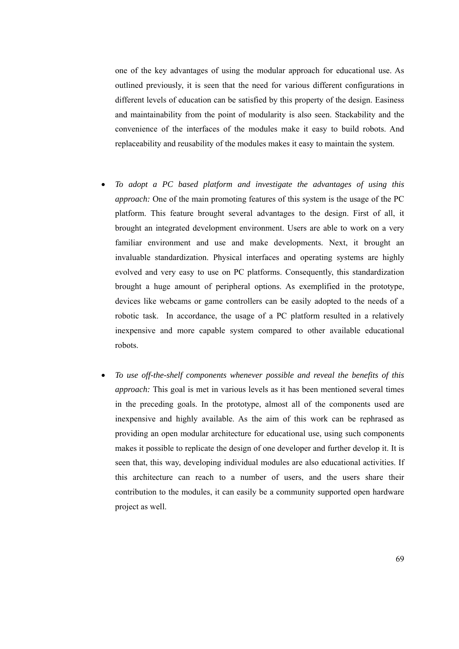one of the key advantages of using the modular approach for educational use. As outlined previously, it is seen that the need for various different configurations in different levels of education can be satisfied by this property of the design. Easiness and maintainability from the point of modularity is also seen. Stackability and the convenience of the interfaces of the modules make it easy to build robots. And replaceability and reusability of the modules makes it easy to maintain the system.

- *To adopt a PC based platform and investigate the advantages of using this approach:* One of the main promoting features of this system is the usage of the PC platform. This feature brought several advantages to the design. First of all, it brought an integrated development environment. Users are able to work on a very familiar environment and use and make developments. Next, it brought an invaluable standardization. Physical interfaces and operating systems are highly evolved and very easy to use on PC platforms. Consequently, this standardization brought a huge amount of peripheral options. As exemplified in the prototype, devices like webcams or game controllers can be easily adopted to the needs of a robotic task. In accordance, the usage of a PC platform resulted in a relatively inexpensive and more capable system compared to other available educational robots.
- *To use off-the-shelf components whenever possible and reveal the benefits of this approach:* This goal is met in various levels as it has been mentioned several times in the preceding goals. In the prototype, almost all of the components used are inexpensive and highly available. As the aim of this work can be rephrased as providing an open modular architecture for educational use, using such components makes it possible to replicate the design of one developer and further develop it. It is seen that, this way, developing individual modules are also educational activities. If this architecture can reach to a number of users, and the users share their contribution to the modules, it can easily be a community supported open hardware project as well.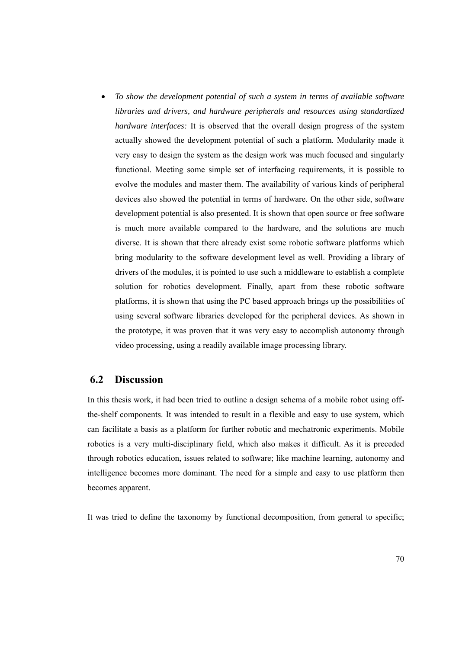• *To show the development potential of such a system in terms of available software libraries and drivers, and hardware peripherals and resources using standardized hardware interfaces:* It is observed that the overall design progress of the system actually showed the development potential of such a platform. Modularity made it very easy to design the system as the design work was much focused and singularly functional. Meeting some simple set of interfacing requirements, it is possible to evolve the modules and master them. The availability of various kinds of peripheral devices also showed the potential in terms of hardware. On the other side, software development potential is also presented. It is shown that open source or free software is much more available compared to the hardware, and the solutions are much diverse. It is shown that there already exist some robotic software platforms which bring modularity to the software development level as well. Providing a library of drivers of the modules, it is pointed to use such a middleware to establish a complete solution for robotics development. Finally, apart from these robotic software platforms, it is shown that using the PC based approach brings up the possibilities of using several software libraries developed for the peripheral devices. As shown in the prototype, it was proven that it was very easy to accomplish autonomy through video processing, using a readily available image processing library.

### **6.2 Discussion**

In this thesis work, it had been tried to outline a design schema of a mobile robot using offthe-shelf components. It was intended to result in a flexible and easy to use system, which can facilitate a basis as a platform for further robotic and mechatronic experiments. Mobile robotics is a very multi-disciplinary field, which also makes it difficult. As it is preceded through robotics education, issues related to software; like machine learning, autonomy and intelligence becomes more dominant. The need for a simple and easy to use platform then becomes apparent.

It was tried to define the taxonomy by functional decomposition, from general to specific;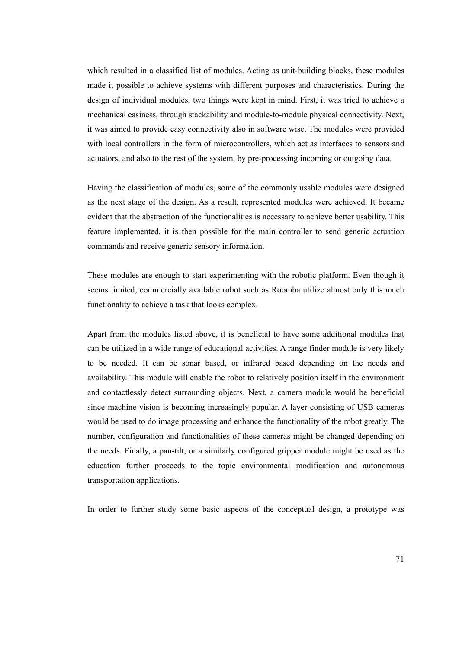which resulted in a classified list of modules. Acting as unit-building blocks, these modules made it possible to achieve systems with different purposes and characteristics. During the design of individual modules, two things were kept in mind. First, it was tried to achieve a mechanical easiness, through stackability and module-to-module physical connectivity. Next, it was aimed to provide easy connectivity also in software wise. The modules were provided with local controllers in the form of microcontrollers, which act as interfaces to sensors and actuators, and also to the rest of the system, by pre-processing incoming or outgoing data.

Having the classification of modules, some of the commonly usable modules were designed as the next stage of the design. As a result, represented modules were achieved. It became evident that the abstraction of the functionalities is necessary to achieve better usability. This feature implemented, it is then possible for the main controller to send generic actuation commands and receive generic sensory information.

These modules are enough to start experimenting with the robotic platform. Even though it seems limited, commercially available robot such as Roomba utilize almost only this much functionality to achieve a task that looks complex.

Apart from the modules listed above, it is beneficial to have some additional modules that can be utilized in a wide range of educational activities. A range finder module is very likely to be needed. It can be sonar based, or infrared based depending on the needs and availability. This module will enable the robot to relatively position itself in the environment and contactlessly detect surrounding objects. Next, a camera module would be beneficial since machine vision is becoming increasingly popular. A layer consisting of USB cameras would be used to do image processing and enhance the functionality of the robot greatly. The number, configuration and functionalities of these cameras might be changed depending on the needs. Finally, a pan-tilt, or a similarly configured gripper module might be used as the education further proceeds to the topic environmental modification and autonomous transportation applications.

In order to further study some basic aspects of the conceptual design, a prototype was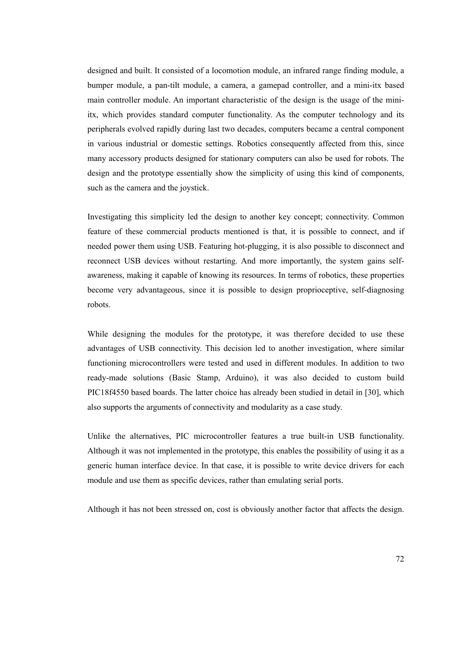designed and built. It consisted of a locomotion module, an infrared range finding module, a bumper module, a pan-tilt module, a camera, a gamepad controller, and a mini-itx based main controller module. An important characteristic of the design is the usage of the miniitx, which provides standard computer functionality. As the computer technology and its peripherals evolved rapidly during last two decades, computers became a central component in various industrial or domestic settings. Robotics consequently affected from this, since many accessory products designed for stationary computers can also be used for robots. The design and the prototype essentially show the simplicity of using this kind of components, such as the camera and the joystick.

Investigating this simplicity led the design to another key concept; connectivity. Common feature of these commercial products mentioned is that, it is possible to connect, and if needed power them using USB. Featuring hot-plugging, it is also possible to disconnect and reconnect USB devices without restarting. And more importantly, the system gains selfawareness, making it capable of knowing its resources. In terms of robotics, these properties become very advantageous, since it is possible to design proprioceptive, self-diagnosing robots.

While designing the modules for the prototype, it was therefore decided to use these advantages of USB connectivity. This decision led to another investigation, where similar functioning microcontrollers were tested and used in different modules. In addition to two ready-made solutions (Basic Stamp, Arduino), it was also decided to custom build PIC18f4550 based boards. The latter choice has already been studied in detail in [30], which also supports the arguments of connectivity and modularity as a case study.

Unlike the alternatives, PIC microcontroller features a true built-in USB functionality. Although it was not implemented in the prototype, this enables the possibility of using it as a generic human interface device. In that case, it is possible to write device drivers for each module and use them as specific devices, rather than emulating serial ports.

Although it has not been stressed on, cost is obviously another factor that affects the design.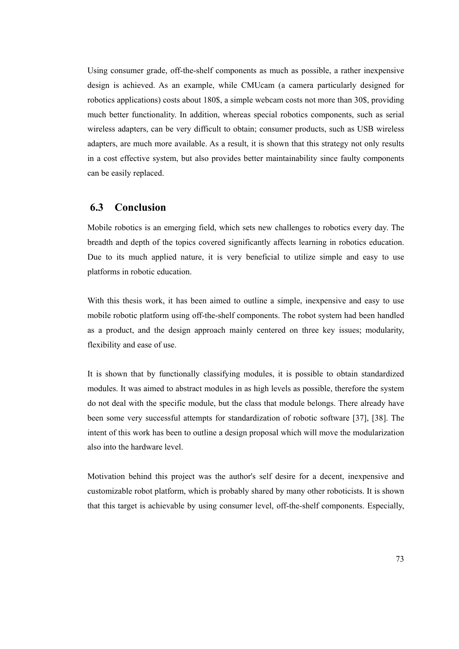Using consumer grade, off-the-shelf components as much as possible, a rather inexpensive design is achieved. As an example, while CMUcam (a camera particularly designed for robotics applications) costs about 180\$, a simple webcam costs not more than 30\$, providing much better functionality. In addition, whereas special robotics components, such as serial wireless adapters, can be very difficult to obtain; consumer products, such as USB wireless adapters, are much more available. As a result, it is shown that this strategy not only results in a cost effective system, but also provides better maintainability since faulty components can be easily replaced.

### **6.3 Conclusion**

Mobile robotics is an emerging field, which sets new challenges to robotics every day. The breadth and depth of the topics covered significantly affects learning in robotics education. Due to its much applied nature, it is very beneficial to utilize simple and easy to use platforms in robotic education.

With this thesis work, it has been aimed to outline a simple, inexpensive and easy to use mobile robotic platform using off-the-shelf components. The robot system had been handled as a product, and the design approach mainly centered on three key issues; modularity, flexibility and ease of use.

It is shown that by functionally classifying modules, it is possible to obtain standardized modules. It was aimed to abstract modules in as high levels as possible, therefore the system do not deal with the specific module, but the class that module belongs. There already have been some very successful attempts for standardization of robotic software [37], [38]. The intent of this work has been to outline a design proposal which will move the modularization also into the hardware level.

Motivation behind this project was the author's self desire for a decent, inexpensive and customizable robot platform, which is probably shared by many other roboticists. It is shown that this target is achievable by using consumer level, off-the-shelf components. Especially,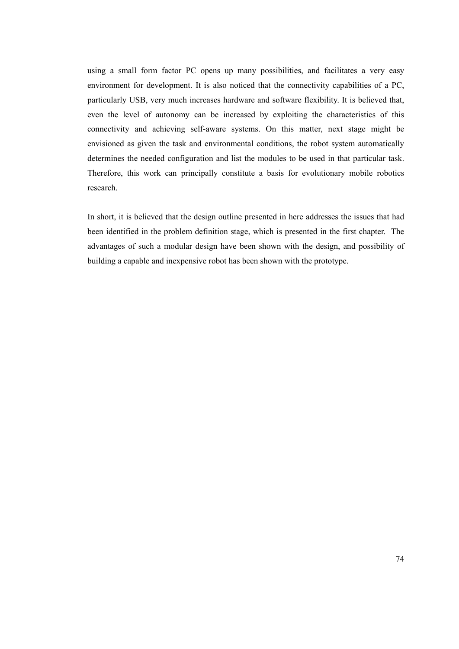using a small form factor PC opens up many possibilities, and facilitates a very easy environment for development. It is also noticed that the connectivity capabilities of a PC, particularly USB, very much increases hardware and software flexibility. It is believed that, even the level of autonomy can be increased by exploiting the characteristics of this connectivity and achieving self-aware systems. On this matter, next stage might be envisioned as given the task and environmental conditions, the robot system automatically determines the needed configuration and list the modules to be used in that particular task. Therefore, this work can principally constitute a basis for evolutionary mobile robotics research.

In short, it is believed that the design outline presented in here addresses the issues that had been identified in the problem definition stage, which is presented in the first chapter. The advantages of such a modular design have been shown with the design, and possibility of building a capable and inexpensive robot has been shown with the prototype.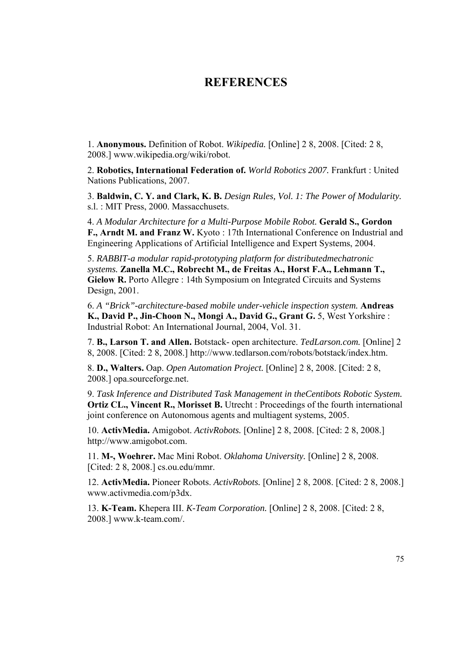## **REFERENCES**

1. **Anonymous.** Definition of Robot. *Wikipedia.* [Online] 2 8, 2008. [Cited: 2 8, 2008.] www.wikipedia.org/wiki/robot.

2. **Robotics, International Federation of.** *World Robotics 2007.* Frankfurt : United Nations Publications, 2007.

3. **Baldwin, C. Y. and Clark, K. B.** *Design Rules, Vol. 1: The Power of Modularity.*  s.l. : MIT Press, 2000. Massacchusets.

4. *A Modular Architecture for a Multi-Purpose Mobile Robot.* **Gerald S., Gordon F., Arndt M. and Franz W.** Kyoto : 17th International Conference on Industrial and Engineering Applications of Artificial Intelligence and Expert Systems, 2004.

5. *RABBIT-a modular rapid-prototyping platform for distributedmechatronic systems.* **Zanella M.C., Robrecht M., de Freitas A., Horst F.A., Lehmann T., Gielow R.** Porto Allegre : 14th Symposium on Integrated Circuits and Systems Design, 2001.

6. *A "Brick"-architecture-based mobile under-vehicle inspection system.* **Andreas K., David P., Jin-Choon N., Mongi A., David G., Grant G.** 5, West Yorkshire : Industrial Robot: An International Journal, 2004, Vol. 31.

7. **B., Larson T. and Allen.** Botstack- open architecture. *TedLarson.com.* [Online] 2 8, 2008. [Cited: 2 8, 2008.] http://www.tedlarson.com/robots/botstack/index.htm.

8. **D., Walters.** Oap. *Open Automation Project.* [Online] 2 8, 2008. [Cited: 2 8, 2008.] opa.sourceforge.net.

9. *Task Inference and Distributed Task Management in theCentibots Robotic System.*  **Ortiz CL., Vincent R., Morisset B.** Utrecht : Proceedings of the fourth international joint conference on Autonomous agents and multiagent systems, 2005.

10. **ActivMedia.** Amigobot. *ActivRobots.* [Online] 2 8, 2008. [Cited: 2 8, 2008.] http://www.amigobot.com.

11. **M-, Woehrer.** Mac Mini Robot. *Oklahoma University.* [Online] 2 8, 2008. [Cited: 2 8, 2008.] cs.ou.edu/mmr.

12. **ActivMedia.** Pioneer Robots. *ActivRobots.* [Online] 2 8, 2008. [Cited: 2 8, 2008.] www.activmedia.com/p3dx.

13. **K-Team.** Khepera III. *K-Team Corporation.* [Online] 2 8, 2008. [Cited: 2 8, 2008.] www.k-team.com/.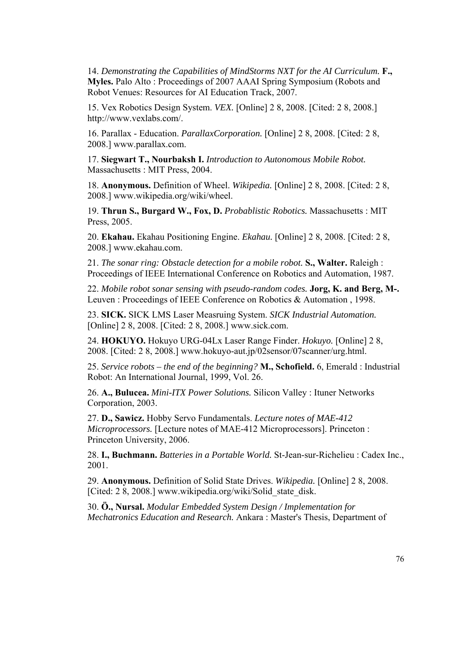14. *Demonstrating the Capabilities of MindStorms NXT for the AI Curriculum.* **F., Myles.** Palo Alto : Proceedings of 2007 AAAI Spring Symposium (Robots and Robot Venues: Resources for AI Education Track, 2007.

15. Vex Robotics Design System. *VEX.* [Online] 2 8, 2008. [Cited: 2 8, 2008.] http://www.vexlabs.com/.

16. Parallax - Education. *ParallaxCorporation.* [Online] 2 8, 2008. [Cited: 2 8, 2008.] www.parallax.com.

17. **Siegwart T., Nourbaksh I.** *Introduction to Autonomous Mobile Robot.*  Massachusetts : MIT Press, 2004.

18. **Anonymous.** Definition of Wheel. *Wikipedia.* [Online] 2 8, 2008. [Cited: 2 8, 2008.] www.wikipedia.org/wiki/wheel.

19. **Thrun S., Burgard W., Fox, D.** *Probablistic Robotics.* Massachusetts : MIT Press, 2005.

20. **Ekahau.** Ekahau Positioning Engine. *Ekahau.* [Online] 2 8, 2008. [Cited: 2 8, 2008.] www.ekahau.com.

21. *The sonar ring: Obstacle detection for a mobile robot.* **S., Walter.** Raleigh : Proceedings of IEEE International Conference on Robotics and Automation, 1987.

22. *Mobile robot sonar sensing with pseudo-random codes.* **Jorg, K. and Berg, M-.** Leuven : Proceedings of IEEE Conference on Robotics & Automation , 1998.

23. **SICK.** SICK LMS Laser Measruing System. *SICK Industrial Automation.*  [Online] 2 8, 2008. [Cited: 2 8, 2008.] www.sick.com.

24. **HOKUYO.** Hokuyo URG-04Lx Laser Range Finder. *Hokuyo.* [Online] 2 8, 2008. [Cited: 2 8, 2008.] www.hokuyo-aut.jp/02sensor/07scanner/urg.html.

25. *Service robots – the end of the beginning?* **M., Schofield.** 6, Emerald : Industrial Robot: An International Journal, 1999, Vol. 26.

26. **A., Bulucea.** *Mini-ITX Power Solutions.* Silicon Valley : Ituner Networks Corporation, 2003.

27. **D., Sawicz.** Hobby Servo Fundamentals. *Lecture notes of MAE-412 Microprocessors.* [Lecture notes of MAE-412 Microprocessors]. Princeton : Princeton University, 2006.

28. **I., Buchmann.** *Batteries in a Portable World.* St-Jean-sur-Richelieu : Cadex Inc., 2001.

29. **Anonymous.** Definition of Solid State Drives. *Wikipedia.* [Online] 2 8, 2008. [Cited: 2 8, 2008.] www.wikipedia.org/wiki/Solid\_state\_disk.

30. **Ö., Nursal.** *Modular Embedded System Design / Implementation for Mechatronics Education and Research.* Ankara : Master's Thesis, Department of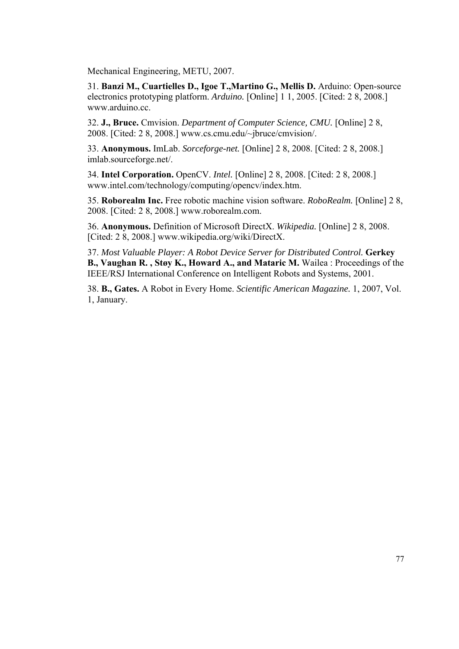Mechanical Engineering, METU, 2007.

31. **Banzi M., Cuartielles D., Igoe T.,Martino G., Mellis D.** Arduino: Open-source electronics prototyping platform. *Arduino.* [Online] 1 1, 2005. [Cited: 2 8, 2008.] www.arduino.cc

32. **J., Bruce.** Cmvision. *Department of Computer Science, CMU.* [Online] 2 8, 2008. [Cited: 2 8, 2008.] www.cs.cmu.edu/~jbruce/cmvision/.

33. **Anonymous.** ImLab. *Sorceforge-net.* [Online] 2 8, 2008. [Cited: 2 8, 2008.] imlab.sourceforge.net/.

34. **Intel Corporation.** OpenCV. *Intel.* [Online] 2 8, 2008. [Cited: 2 8, 2008.] www.intel.com/technology/computing/opencv/index.htm.

35. **Roborealm Inc.** Free robotic machine vision software. *RoboRealm.* [Online] 2 8, 2008. [Cited: 2 8, 2008.] www.roborealm.com.

36. **Anonymous.** Definition of Microsoft DirectX. *Wikipedia.* [Online] 2 8, 2008. [Cited: 2 8, 2008.] www.wikipedia.org/wiki/DirectX.

37. *Most Valuable Player: A Robot Device Server for Distributed Control.* **Gerkey B., Vaughan R. , Støy K., Howard A., and Mataric M.** Wailea : Proceedings of the IEEE/RSJ International Conference on Intelligent Robots and Systems, 2001.

38. **B., Gates.** A Robot in Every Home. *Scientific American Magazine.* 1, 2007, Vol. 1, January.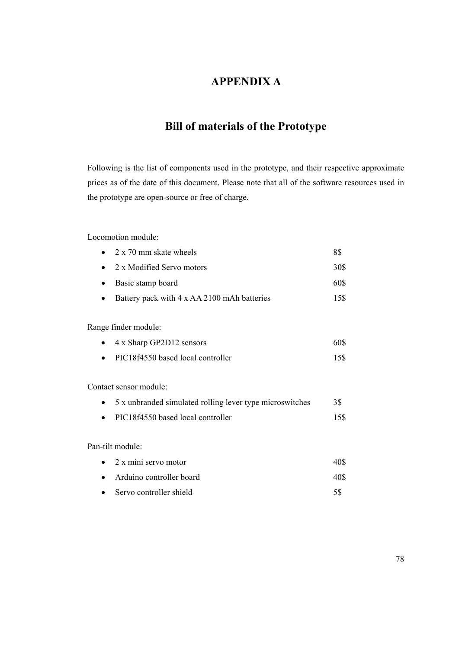## **APPENDIX A**

# **Bill of materials of the Prototype**

Following is the list of components used in the prototype, and their respective approximate prices as of the date of this document. Please note that all of the software resources used in the prototype are open-source or free of charge.

Locomotion module:

| 2 x 70 mm skate wheels                                   | 8\$  |
|----------------------------------------------------------|------|
| 2 x Modified Servo motors                                | 30\$ |
| Basic stamp board                                        | 60\$ |
| Battery pack with 4 x AA 2100 mAh batteries              | 15\$ |
| Range finder module:                                     |      |
| 4 x Sharp GP2D12 sensors                                 | 60\$ |
| PIC18f4550 based local controller                        | 15\$ |
| Contact sensor module:                                   |      |
| 5 x unbranded simulated rolling lever type microswitches | 3\$  |
| PIC18f4550 based local controller                        | 15\$ |
| Pan-tilt module:                                         |      |
| 2 x mini servo motor                                     | 40\$ |
| Arduino controller board                                 | 40\$ |
| Servo controller shield                                  | 5\$  |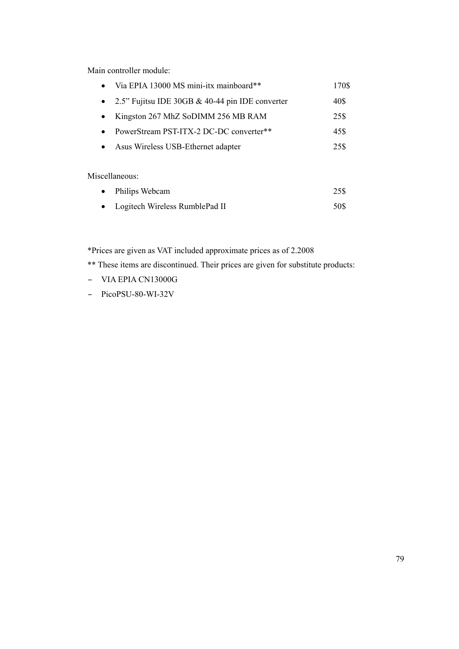Main controller module:

| Via EPIA 13000 MS mini-itx mainboard**          | 170\$ |
|-------------------------------------------------|-------|
| 2.5" Fujitsu IDE 30GB & 40-44 pin IDE converter | 40\$  |
| Kingston 267 MhZ SoDIMM 256 MB RAM              | 25\$  |
| PowerStream PST-ITX-2 DC-DC converter**         | 45\$  |
| Asus Wireless USB-Ethernet adapter              | 25\$  |
|                                                 |       |

Miscellaneous:

| $\bullet$ | Philips Webcam                   | 25\$ |
|-----------|----------------------------------|------|
|           | • Logitech Wireless RumblePad II | 50\$ |

\*Prices are given as VAT included approximate prices as of 2.2008

\*\* These items are discontinued. Their prices are given for substitute products:

- VIA EPIA CN13000G
- PicoPSU-80-WI-32V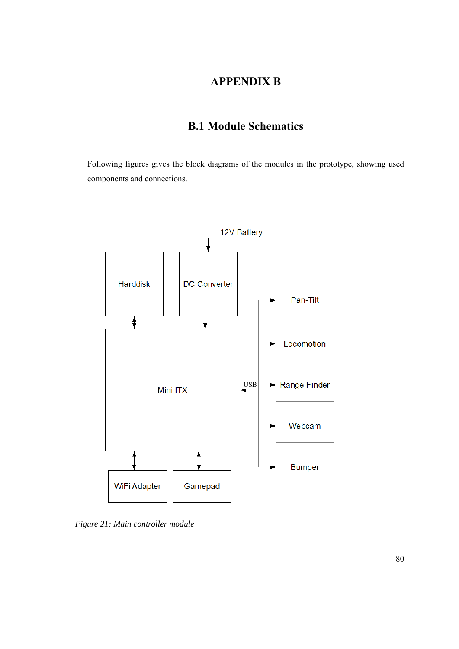## **APPENDIX B**

# **B.1 Module Schematics**

Following figures gives the block diagrams of the modules in the prototype, showing used components and connections.



*Figure 21: Main controller module*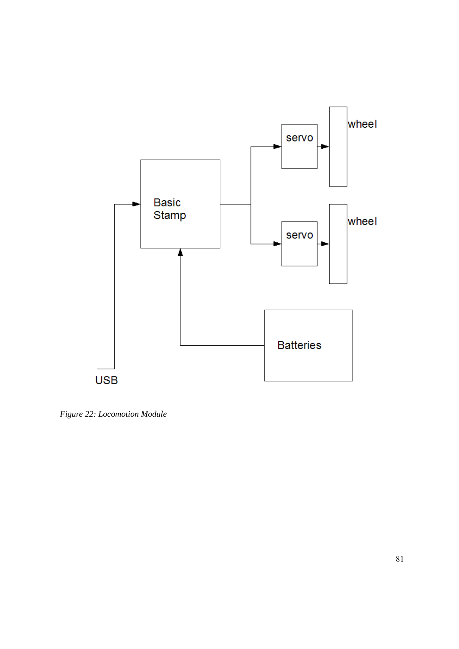

*Figure 22: Locomotion Module*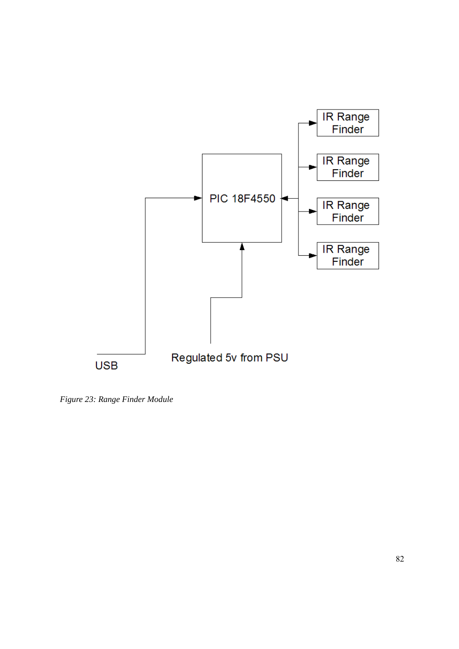

*Figure 23: Range Finder Module*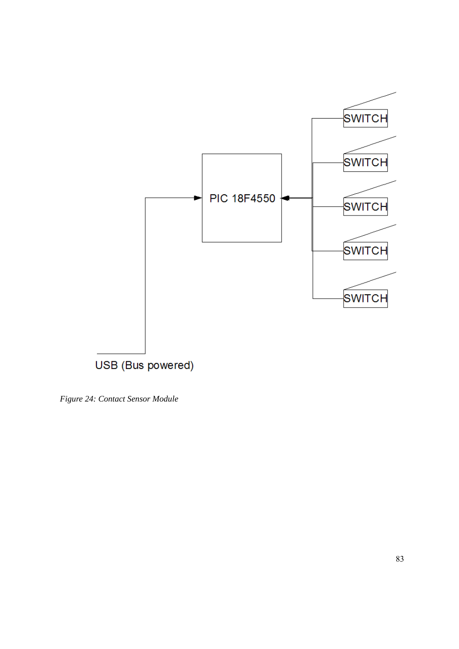

*Figure 24: Contact Sensor Module*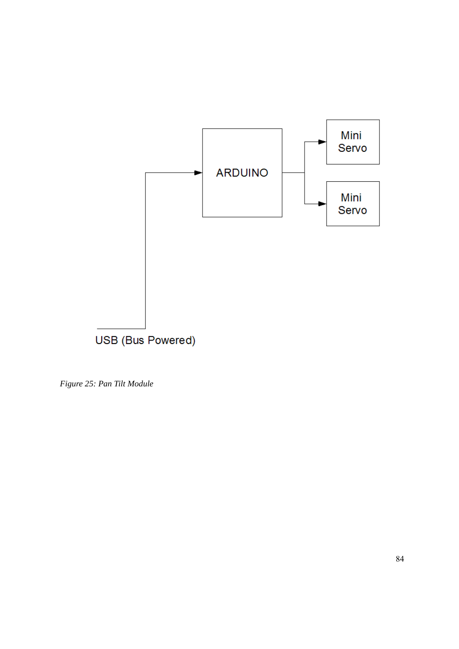

*Figure 25: Pan Tilt Module*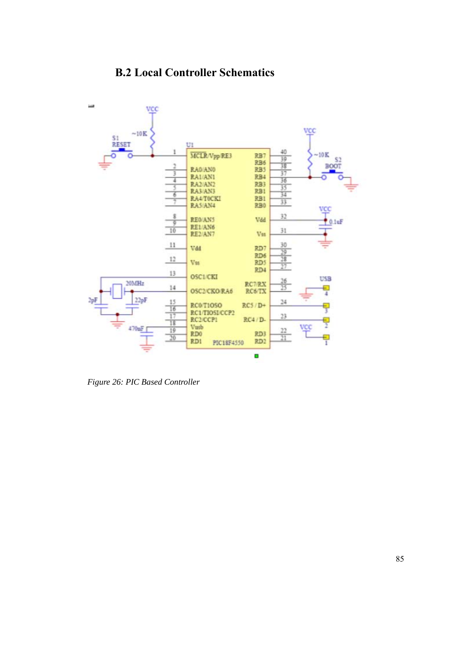# **B.2 Local Controller Schematics**



*Figure 26: PIC Based Controller*